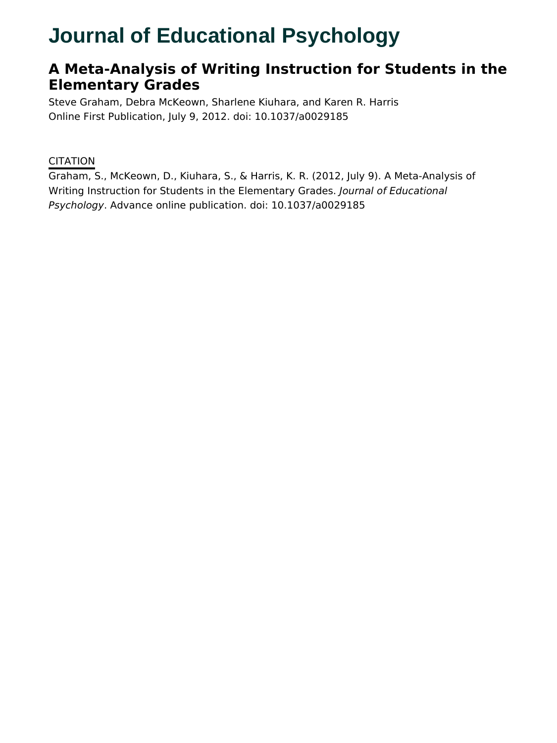# **Journal of Educational Psychology**

# **A Meta-Analysis of Writing Instruction for Students in the Elementary Grades**

Steve Graham, Debra McKeown, Sharlene Kiuhara, and Karen R. Harris Online First Publication, July 9, 2012. doi: 10.1037/a0029185

# **CITATION**

Graham, S., McKeown, D., Kiuhara, S., & Harris, K. R. (2012, July 9). A Meta-Analysis of Writing Instruction for Students in the Elementary Grades. Journal of Educational Psychology. Advance online publication. doi: 10.1037/a0029185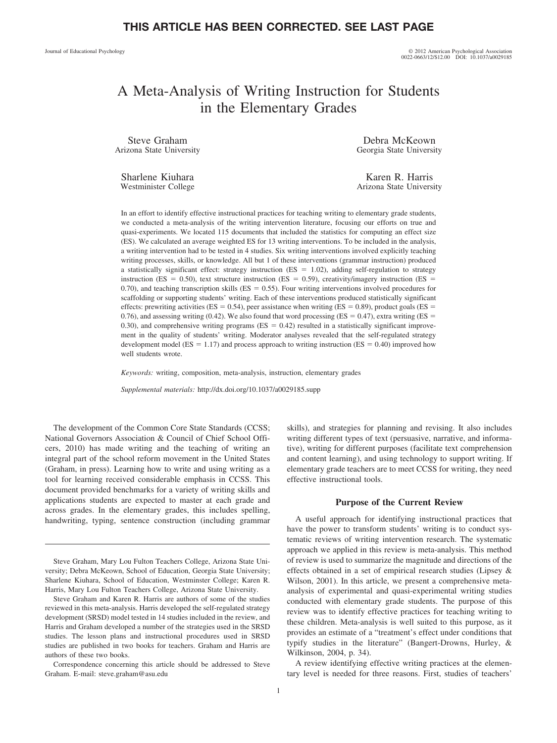# **THIS ARTICLE HAS BEEN CORRECTED. SEE LAST PAGE**

# A Meta-Analysis of Writing Instruction for Students in the Elementary Grades

Steve Graham Arizona State University

Debra McKeown Georgia State University

Sharlene Kiuhara Westminister College

Karen R. Harris Arizona State University

In an effort to identify effective instructional practices for teaching writing to elementary grade students, we conducted a meta-analysis of the writing intervention literature, focusing our efforts on true and quasi-experiments. We located 115 documents that included the statistics for computing an effect size (ES). We calculated an average weighted ES for 13 writing interventions. To be included in the analysis, a writing intervention had to be tested in 4 studies. Six writing interventions involved explicitly teaching writing processes, skills, or knowledge. All but 1 of these interventions (grammar instruction) produced a statistically significant effect: strategy instruction ( $ES = 1.02$ ), adding self-regulation to strategy instruction (ES = 0.50), text structure instruction (ES = 0.59), creativity/imagery instruction (ES = 0.70), and teaching transcription skills ( $ES = 0.55$ ). Four writing interventions involved procedures for scaffolding or supporting students' writing. Each of these interventions produced statistically significant effects: prewriting activities (ES = 0.54), peer assistance when writing (ES = 0.89), product goals (ES = 0.76), and assessing writing (0.42). We also found that word processing (ES =  $0.47$ ), extra writing (ES = 0.30), and comprehensive writing programs ( $ES = 0.42$ ) resulted in a statistically significant improvement in the quality of students' writing. Moderator analyses revealed that the self-regulated strategy development model ( $ES = 1.17$ ) and process approach to writing instruction ( $ES = 0.40$ ) improved how well students wrote.

*Keywords:* writing, composition, meta-analysis, instruction, elementary grades

*Supplemental materials:* http://dx.doi.org/10.1037/a0029185.supp

The development of the Common Core State Standards (CCSS; National Governors Association & Council of Chief School Officers, 2010) has made writing and the teaching of writing an integral part of the school reform movement in the United States (Graham, in press). Learning how to write and using writing as a tool for learning received considerable emphasis in CCSS. This document provided benchmarks for a variety of writing skills and applications students are expected to master at each grade and across grades. In the elementary grades, this includes spelling, handwriting, typing, sentence construction (including grammar

skills), and strategies for planning and revising. It also includes writing different types of text (persuasive, narrative, and informative), writing for different purposes (facilitate text comprehension and content learning), and using technology to support writing. If elementary grade teachers are to meet CCSS for writing, they need effective instructional tools.

#### **Purpose of the Current Review**

A useful approach for identifying instructional practices that have the power to transform students' writing is to conduct systematic reviews of writing intervention research. The systematic approach we applied in this review is meta-analysis. This method of review is used to summarize the magnitude and directions of the effects obtained in a set of empirical research studies (Lipsey & Wilson, 2001). In this article, we present a comprehensive metaanalysis of experimental and quasi-experimental writing studies conducted with elementary grade students. The purpose of this review was to identify effective practices for teaching writing to these children. Meta-analysis is well suited to this purpose, as it provides an estimate of a "treatment's effect under conditions that typify studies in the literature" (Bangert-Drowns, Hurley, & Wilkinson, 2004, p. 34).

A review identifying effective writing practices at the elementary level is needed for three reasons. First, studies of teachers'

Steve Graham, Mary Lou Fulton Teachers College, Arizona State University; Debra McKeown, School of Education, Georgia State University; Sharlene Kiuhara, School of Education, Westminster College; Karen R. Harris, Mary Lou Fulton Teachers College, Arizona State University.

Steve Graham and Karen R. Harris are authors of some of the studies reviewed in this meta-analysis. Harris developed the self-regulated strategy development (SRSD) model tested in 14 studies included in the review, and Harris and Graham developed a number of the strategies used in the SRSD studies. The lesson plans and instructional procedures used in SRSD studies are published in two books for teachers. Graham and Harris are authors of these two books.

Correspondence concerning this article should be addressed to Steve Graham. E-mail: steve.graham@asu.edu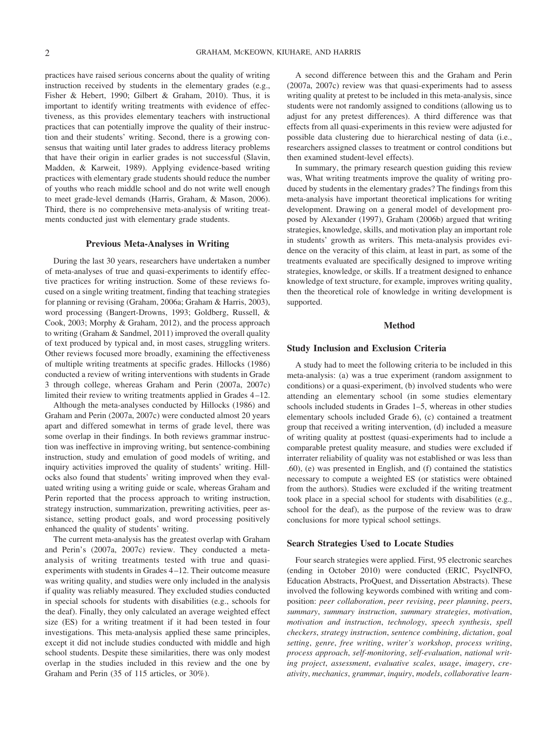practices have raised serious concerns about the quality of writing instruction received by students in the elementary grades (e.g., Fisher & Hebert, 1990; Gilbert & Graham, 2010). Thus, it is important to identify writing treatments with evidence of effectiveness, as this provides elementary teachers with instructional practices that can potentially improve the quality of their instruction and their students' writing. Second, there is a growing consensus that waiting until later grades to address literacy problems that have their origin in earlier grades is not successful (Slavin, Madden, & Karweit, 1989). Applying evidence-based writing practices with elementary grade students should reduce the number of youths who reach middle school and do not write well enough to meet grade-level demands (Harris, Graham, & Mason, 2006). Third, there is no comprehensive meta-analysis of writing treatments conducted just with elementary grade students.

## **Previous Meta-Analyses in Writing**

During the last 30 years, researchers have undertaken a number of meta-analyses of true and quasi-experiments to identify effective practices for writing instruction. Some of these reviews focused on a single writing treatment, finding that teaching strategies for planning or revising (Graham, 2006a; Graham & Harris, 2003), word processing (Bangert-Drowns, 1993; Goldberg, Russell, & Cook, 2003; Morphy & Graham, 2012), and the process approach to writing (Graham & Sandmel, 2011) improved the overall quality of text produced by typical and, in most cases, struggling writers. Other reviews focused more broadly, examining the effectiveness of multiple writing treatments at specific grades. Hillocks (1986) conducted a review of writing interventions with students in Grade 3 through college, whereas Graham and Perin (2007a, 2007c) limited their review to writing treatments applied in Grades 4–12.

Although the meta-analyses conducted by Hillocks (1986) and Graham and Perin (2007a, 2007c) were conducted almost 20 years apart and differed somewhat in terms of grade level, there was some overlap in their findings. In both reviews grammar instruction was ineffective in improving writing, but sentence-combining instruction, study and emulation of good models of writing, and inquiry activities improved the quality of students' writing. Hillocks also found that students' writing improved when they evaluated writing using a writing guide or scale, whereas Graham and Perin reported that the process approach to writing instruction, strategy instruction, summarization, prewriting activities, peer assistance, setting product goals, and word processing positively enhanced the quality of students' writing.

The current meta-analysis has the greatest overlap with Graham and Perin's (2007a, 2007c) review. They conducted a metaanalysis of writing treatments tested with true and quasiexperiments with students in Grades 4–12. Their outcome measure was writing quality, and studies were only included in the analysis if quality was reliably measured. They excluded studies conducted in special schools for students with disabilities (e.g., schools for the deaf). Finally, they only calculated an average weighted effect size (ES) for a writing treatment if it had been tested in four investigations. This meta-analysis applied these same principles, except it did not include studies conducted with middle and high school students. Despite these similarities, there was only modest overlap in the studies included in this review and the one by Graham and Perin (35 of 115 articles, or 30%).

A second difference between this and the Graham and Perin (2007a, 2007c) review was that quasi-experiments had to assess writing quality at pretest to be included in this meta-analysis, since students were not randomly assigned to conditions (allowing us to adjust for any pretest differences). A third difference was that effects from all quasi-experiments in this review were adjusted for possible data clustering due to hierarchical nesting of data (i.e., researchers assigned classes to treatment or control conditions but then examined student-level effects).

In summary, the primary research question guiding this review was, What writing treatments improve the quality of writing produced by students in the elementary grades? The findings from this meta-analysis have important theoretical implications for writing development. Drawing on a general model of development proposed by Alexander (1997), Graham (2006b) argued that writing strategies, knowledge, skills, and motivation play an important role in students' growth as writers. This meta-analysis provides evidence on the veracity of this claim, at least in part, as some of the treatments evaluated are specifically designed to improve writing strategies, knowledge, or skills. If a treatment designed to enhance knowledge of text structure, for example, improves writing quality, then the theoretical role of knowledge in writing development is supported.

#### **Method**

#### **Study Inclusion and Exclusion Criteria**

A study had to meet the following criteria to be included in this meta-analysis: (a) was a true experiment (random assignment to conditions) or a quasi-experiment, (b) involved students who were attending an elementary school (in some studies elementary schools included students in Grades 1–5, whereas in other studies elementary schools included Grade 6), (c) contained a treatment group that received a writing intervention, (d) included a measure of writing quality at posttest (quasi-experiments had to include a comparable pretest quality measure, and studies were excluded if interrater reliability of quality was not established or was less than .60), (e) was presented in English, and (f) contained the statistics necessary to compute a weighted ES (or statistics were obtained from the authors). Studies were excluded if the writing treatment took place in a special school for students with disabilities (e.g., school for the deaf), as the purpose of the review was to draw conclusions for more typical school settings.

#### **Search Strategies Used to Locate Studies**

Four search strategies were applied. First, 95 electronic searches (ending in October 2010) were conducted (ERIC, PsycINFO, Education Abstracts, ProQuest, and Dissertation Abstracts). These involved the following keywords combined with writing and composition: *peer collaboration*, *peer revising*, *peer planning*, *peers*, *summary*, *summary instruction*, *summary strategies*, *motivation*, *motivation and instruction*, *technology*, *speech synthesis*, *spell checkers*, *strategy instruction*, *sentence combining*, *dictation*, *goal setting*, *genre*, *free writing*, *writer's workshop*, *process writing*, *process approach*, *self-monitoring*, *self-evaluation*, *national writing project*, *assessment*, *evaluative scales*, *usage*, *imagery*, *creativity*, *mechanics*, *grammar*, *inquiry*, *models*, *collaborative learn-*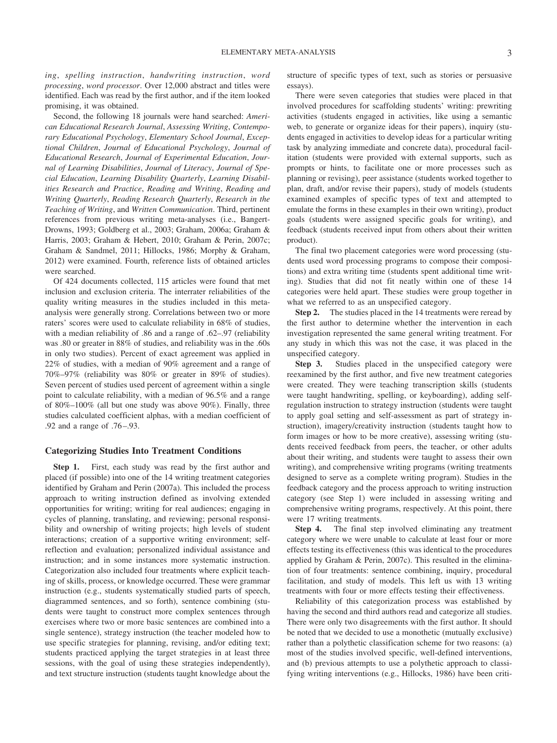*ing*, *spelling instruction*, *handwriting instruction*, *word processing*, *word processor*. Over 12,000 abstract and titles were identified. Each was read by the first author, and if the item looked promising, it was obtained.

Second, the following 18 journals were hand searched: *American Educational Research Journal*, *Assessing Writing*, *Contemporary Educational Psychology*, *Elementary School Journal*, *Exceptional Children*, *Journal of Educational Psychology*, *Journal of Educational Research*, *Journal of Experimental Education*, *Journal of Learning Disabilities*, *Journal of Literacy*, *Journal of Special Education*, *Learning Disability Quarterly*, *Learning Disabilities Research and Practice*, *Reading and Writing*, *Reading and Writing Quarterly*, *Reading Research Quarterly*, *Research in the Teaching of Writing*, and *Written Communication*. Third, pertinent references from previous writing meta-analyses (i.e., Bangert-Drowns, 1993; Goldberg et al., 2003; Graham, 2006a; Graham & Harris, 2003; Graham & Hebert, 2010; Graham & Perin, 2007c; Graham & Sandmel, 2011; Hillocks, 1986; Morphy & Graham, 2012) were examined. Fourth, reference lists of obtained articles were searched.

Of 424 documents collected, 115 articles were found that met inclusion and exclusion criteria. The interrater reliabilities of the quality writing measures in the studies included in this metaanalysis were generally strong. Correlations between two or more raters' scores were used to calculate reliability in 68% of studies, with a median reliability of .86 and a range of .62–.97 (reliability was .80 or greater in 88% of studies, and reliability was in the .60s in only two studies). Percent of exact agreement was applied in 22% of studies, with a median of 90% agreement and a range of 70%–97% (reliability was 80% or greater in 89% of studies). Seven percent of studies used percent of agreement within a single point to calculate reliability, with a median of 96.5% and a range of 80%–100% (all but one study was above 90%). Finally, three studies calculated coefficient alphas, with a median coefficient of .92 and a range of .76–.93.

#### **Categorizing Studies Into Treatment Conditions**

**Step 1.** First, each study was read by the first author and placed (if possible) into one of the 14 writing treatment categories identified by Graham and Perin (2007a). This included the process approach to writing instruction defined as involving extended opportunities for writing; writing for real audiences; engaging in cycles of planning, translating, and reviewing; personal responsibility and ownership of writing projects; high levels of student interactions; creation of a supportive writing environment; selfreflection and evaluation; personalized individual assistance and instruction; and in some instances more systematic instruction. Categorization also included four treatments where explicit teaching of skills, process, or knowledge occurred. These were grammar instruction (e.g., students systematically studied parts of speech, diagrammed sentences, and so forth), sentence combining (students were taught to construct more complex sentences through exercises where two or more basic sentences are combined into a single sentence), strategy instruction (the teacher modeled how to use specific strategies for planning, revising, and/or editing text; students practiced applying the target strategies in at least three sessions, with the goal of using these strategies independently), and text structure instruction (students taught knowledge about the

structure of specific types of text, such as stories or persuasive essays).

There were seven categories that studies were placed in that involved procedures for scaffolding students' writing: prewriting activities (students engaged in activities, like using a semantic web, to generate or organize ideas for their papers), inquiry (students engaged in activities to develop ideas for a particular writing task by analyzing immediate and concrete data), procedural facilitation (students were provided with external supports, such as prompts or hints, to facilitate one or more processes such as planning or revising), peer assistance (students worked together to plan, draft, and/or revise their papers), study of models (students examined examples of specific types of text and attempted to emulate the forms in these examples in their own writing), product goals (students were assigned specific goals for writing), and feedback (students received input from others about their written product).

The final two placement categories were word processing (students used word processing programs to compose their compositions) and extra writing time (students spent additional time writing). Studies that did not fit neatly within one of these 14 categories were held apart. These studies were group together in what we referred to as an unspecified category.

**Step 2.** The studies placed in the 14 treatments were reread by the first author to determine whether the intervention in each investigation represented the same general writing treatment. For any study in which this was not the case, it was placed in the unspecified category.

**Step 3.** Studies placed in the unspecified category were reexamined by the first author, and five new treatment categories were created. They were teaching transcription skills (students were taught handwriting, spelling, or keyboarding), adding selfregulation instruction to strategy instruction (students were taught to apply goal setting and self-assessment as part of strategy instruction), imagery/creativity instruction (students taught how to form images or how to be more creative), assessing writing (students received feedback from peers, the teacher, or other adults about their writing, and students were taught to assess their own writing), and comprehensive writing programs (writing treatments designed to serve as a complete writing program). Studies in the feedback category and the process approach to writing instruction category (see Step 1) were included in assessing writing and comprehensive writing programs, respectively. At this point, there were 17 writing treatments.

**Step 4.** The final step involved eliminating any treatment category where we were unable to calculate at least four or more effects testing its effectiveness (this was identical to the procedures applied by Graham & Perin, 2007c). This resulted in the elimination of four treatments: sentence combining, inquiry, procedural facilitation, and study of models. This left us with 13 writing treatments with four or more effects testing their effectiveness.

Reliability of this categorization process was established by having the second and third authors read and categorize all studies. There were only two disagreements with the first author. It should be noted that we decided to use a monothetic (mutually exclusive) rather than a polythetic classification scheme for two reasons: (a) most of the studies involved specific, well-defined interventions, and (b) previous attempts to use a polythetic approach to classifying writing interventions (e.g., Hillocks, 1986) have been criti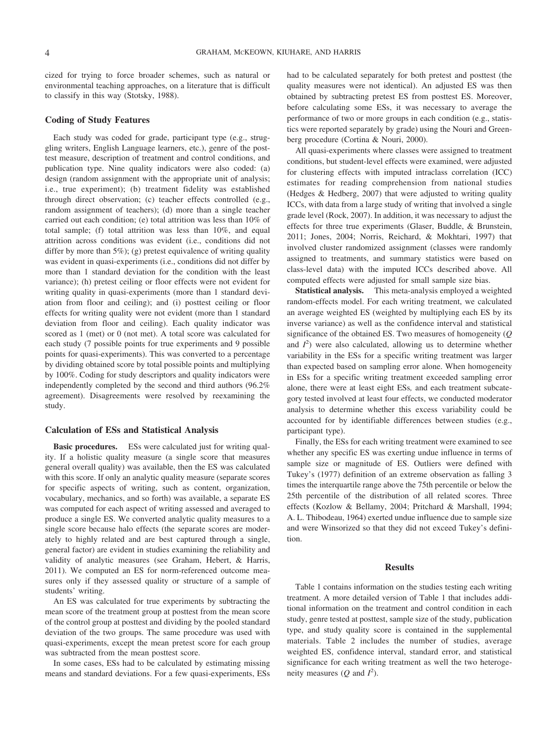cized for trying to force broader schemes, such as natural or environmental teaching approaches, on a literature that is difficult to classify in this way (Stotsky, 1988).

#### **Coding of Study Features**

Each study was coded for grade, participant type (e.g., struggling writers, English Language learners, etc.), genre of the posttest measure, description of treatment and control conditions, and publication type. Nine quality indicators were also coded: (a) design (random assignment with the appropriate unit of analysis; i.e., true experiment); (b) treatment fidelity was established through direct observation; (c) teacher effects controlled (e.g., random assignment of teachers); (d) more than a single teacher carried out each condition; (e) total attrition was less than 10% of total sample; (f) total attrition was less than 10%, and equal attrition across conditions was evident (i.e., conditions did not differ by more than 5%); (g) pretest equivalence of writing quality was evident in quasi-experiments (i.e., conditions did not differ by more than 1 standard deviation for the condition with the least variance); (h) pretest ceiling or floor effects were not evident for writing quality in quasi-experiments (more than 1 standard deviation from floor and ceiling); and (i) posttest ceiling or floor effects for writing quality were not evident (more than 1 standard deviation from floor and ceiling). Each quality indicator was scored as 1 (met) or 0 (not met). A total score was calculated for each study (7 possible points for true experiments and 9 possible points for quasi-experiments). This was converted to a percentage by dividing obtained score by total possible points and multiplying by 100%. Coding for study descriptors and quality indicators were independently completed by the second and third authors (96.2% agreement). Disagreements were resolved by reexamining the study.

#### **Calculation of ESs and Statistical Analysis**

**Basic procedures.** ESs were calculated just for writing quality. If a holistic quality measure (a single score that measures general overall quality) was available, then the ES was calculated with this score. If only an analytic quality measure (separate scores for specific aspects of writing, such as content, organization, vocabulary, mechanics, and so forth) was available, a separate ES was computed for each aspect of writing assessed and averaged to produce a single ES. We converted analytic quality measures to a single score because halo effects (the separate scores are moderately to highly related and are best captured through a single, general factor) are evident in studies examining the reliability and validity of analytic measures (see Graham, Hebert, & Harris, 2011). We computed an ES for norm-referenced outcome measures only if they assessed quality or structure of a sample of students' writing.

An ES was calculated for true experiments by subtracting the mean score of the treatment group at posttest from the mean score of the control group at posttest and dividing by the pooled standard deviation of the two groups. The same procedure was used with quasi-experiments, except the mean pretest score for each group was subtracted from the mean posttest score.

In some cases, ESs had to be calculated by estimating missing means and standard deviations. For a few quasi-experiments, ESs had to be calculated separately for both pretest and posttest (the quality measures were not identical). An adjusted ES was then obtained by subtracting pretest ES from posttest ES. Moreover, before calculating some ESs, it was necessary to average the performance of two or more groups in each condition (e.g., statistics were reported separately by grade) using the Nouri and Greenberg procedure (Cortina & Nouri, 2000).

All quasi-experiments where classes were assigned to treatment conditions, but student-level effects were examined, were adjusted for clustering effects with imputed intraclass correlation (ICC) estimates for reading comprehension from national studies (Hedges & Hedberg, 2007) that were adjusted to writing quality ICCs, with data from a large study of writing that involved a single grade level (Rock, 2007). In addition, it was necessary to adjust the effects for three true experiments (Glaser, Buddle, & Brunstein, 2011; Jones, 2004; Norris, Reichard, & Mokhtari, 1997) that involved cluster randomized assignment (classes were randomly assigned to treatments, and summary statistics were based on class-level data) with the imputed ICCs described above. All computed effects were adjusted for small sample size bias.

**Statistical analysis.** This meta-analysis employed a weighted random-effects model. For each writing treatment, we calculated an average weighted ES (weighted by multiplying each ES by its inverse variance) as well as the confidence interval and statistical significance of the obtained ES. Two measures of homogeneity (*Q* and  $I^2$ ) were also calculated, allowing us to determine whether variability in the ESs for a specific writing treatment was larger than expected based on sampling error alone. When homogeneity in ESs for a specific writing treatment exceeded sampling error alone, there were at least eight ESs*,* and each treatment subcategory tested involved at least four effects, we conducted moderator analysis to determine whether this excess variability could be accounted for by identifiable differences between studies (e.g., participant type).

Finally, the ESs for each writing treatment were examined to see whether any specific ES was exerting undue influence in terms of sample size or magnitude of ES. Outliers were defined with Tukey's (1977) definition of an extreme observation as falling 3 times the interquartile range above the 75th percentile or below the 25th percentile of the distribution of all related scores. Three effects (Kozlow & Bellamy, 2004; Pritchard & Marshall, 1994; A. L. Thibodeau, 1964) exerted undue influence due to sample size and were Winsorized so that they did not exceed Tukey's definition.

#### **Results**

Table 1 contains information on the studies testing each writing treatment. A more detailed version of Table 1 that includes additional information on the treatment and control condition in each study, genre tested at posttest, sample size of the study, publication type, and study quality score is contained in the supplemental materials. Table 2 includes the number of studies, average weighted ES, confidence interval, standard error, and statistical significance for each writing treatment as well the two heterogeneity measures (*Q* and *I* 2 ).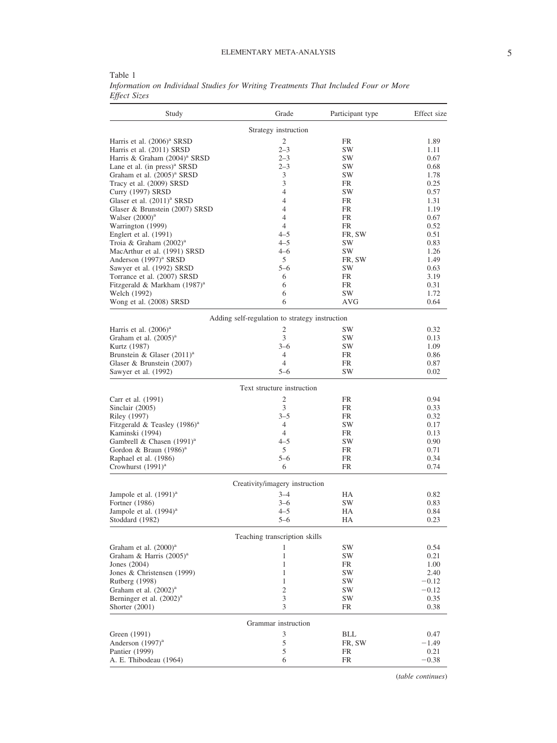# ELEMENTARY META-ANALYSIS 5

| Table 1                                                                             |  |  |  |  |  |
|-------------------------------------------------------------------------------------|--|--|--|--|--|
| Information on Individual Studies for Writing Treatments That Included Four or More |  |  |  |  |  |

*Effect Sizes*

| Study                                                 | Grade                                          | Participant type | Effect size  |
|-------------------------------------------------------|------------------------------------------------|------------------|--------------|
|                                                       | Strategy instruction                           |                  |              |
| Harris et al. (2006) <sup>a</sup> SRSD                | 2                                              | FR               | 1.89         |
| Harris et al. (2011) SRSD                             | $2 - 3$                                        | SW               | 1.11         |
| Harris & Graham (2004) <sup>a</sup> SRSD              | $2 - 3$                                        | SW               | 0.67         |
| Lane et al. $(in$ press $)^a$ SRSD                    | $2 - 3$                                        | SW               | 0.68         |
| Graham et al. (2005) <sup>a</sup> SRSD                | 3                                              | SW               | 1.78         |
| Tracy et al. (2009) SRSD                              | 3                                              | FR               | 0.25         |
| Curry (1997) SRSD                                     | 4                                              | SW               | 0.57         |
| Glaser et al. $(2011)^a$ SRSD                         | 4                                              | FR               | 1.31         |
| Glaser & Brunstein (2007) SRSD                        | $\overline{4}$                                 | FR               | 1.19         |
| Walser $(2000)$ <sup>a</sup>                          | $\overline{4}$<br>$\overline{4}$               | FR<br>FR         | 0.67<br>0.52 |
| Warrington (1999)<br>Englert et al. (1991)            | $4 - 5$                                        | FR, SW           | 0.51         |
| Troia & Graham $(2002)^a$                             | $4 - 5$                                        | SW               | 0.83         |
| MacArthur et al. (1991) SRSD                          | $4 - 6$                                        | SW               | 1.26         |
| Anderson (1997) <sup>a</sup> SRSD                     | 5                                              | FR, SW           | 1.49         |
| Sawyer et al. (1992) SRSD                             | $5 - 6$                                        | SW               | 0.63         |
| Torrance et al. (2007) SRSD                           | 6                                              | FR               | 3.19         |
| Fitzgerald & Markham $(1987)^{a}$                     | 6                                              | FR               | 0.31         |
| Welch (1992)                                          | 6                                              | SW               | 1.72         |
| Wong et al. (2008) SRSD                               | 6                                              | AVG              | 0.64         |
|                                                       | Adding self-regulation to strategy instruction |                  |              |
| Harris et al. $(2006)^a$                              | 2                                              | SW               | 0.32         |
| Graham et al. (2005) <sup>a</sup>                     | 3                                              | SW               | 0.13         |
| Kurtz (1987)                                          | $3 - 6$                                        | SW               | 1.09         |
| Brunstein & Glaser $(2011)^{a}$                       | $\overline{4}$                                 | FR               | 0.86         |
| Glaser & Brunstein (2007)                             | $\overline{4}$                                 | FR               | 0.87         |
| Sawyer et al. (1992)                                  | $5 - 6$                                        | SW               | 0.02         |
|                                                       | Text structure instruction                     |                  |              |
| Carr et al. (1991)                                    | 2                                              | FR               | 0.94         |
| Sinclair $(2005)$                                     | 3                                              | FR               | 0.33         |
| Riley (1997)                                          | $3 - 5$                                        | FR               | 0.32         |
| Fitzgerald & Teasley $(1986)^{a}$                     | 4                                              | SW               | 0.17         |
| Kaminski (1994)                                       | $\overline{4}$                                 | FR               | 0.13         |
| Gambrell & Chasen $(1991)^{a}$                        | $4 - 5$                                        | SW               | 0.90         |
| Gordon & Braun $(1986)^a$                             | 5                                              | FR               | 0.71         |
| Raphael et al. (1986)                                 | $5 - 6$                                        | FR               | 0.34         |
| Crowhurst $(1991)^{a}$                                | 6                                              | <b>FR</b>        | 0.74         |
|                                                       | Creativity/imagery instruction                 |                  |              |
| Jampole et al. $(1991)^{a}$                           | $3 - 4$                                        | НA               | 0.82         |
| Fortner (1986)                                        | $3 - 6$                                        | SW               | 0.83         |
| Jampole et al. (1994) <sup>a</sup><br>Stoddard (1982) | $4 - 5$<br>$5 - 6$                             | HА<br>HА         | 0.84<br>0.23 |
|                                                       | Teaching transcription skills                  |                  |              |
| Graham et al. $(2000)^a$                              | 1                                              | SW               | 0.54         |
| Graham & Harris $(2005)^a$                            | 1                                              | SW               | 0.21         |
| Jones $(2004)$                                        | 1                                              | FR               | 1.00         |
| Jones & Christensen (1999)                            | 1                                              | SW               | 2.40         |
| Rutberg (1998)                                        | 1                                              | SW               | $-0.12$      |
| Graham et al. (2002) <sup>a</sup>                     | $\mathfrak{2}$                                 | SW               | $-0.12$      |
| Berninger et al. (2002) <sup>a</sup>                  | 3                                              | SW               | 0.35         |
| Shorter $(2001)$                                      | 3                                              | FR               | 0.38         |
|                                                       | Grammar instruction                            |                  |              |
| Green (1991)                                          | 3                                              | BLL              | 0.47         |
| Anderson (1997) <sup>a</sup>                          | 5                                              | FR, SW           | $-1.49$      |
| Pantier (1999)                                        | 5                                              | FR               | 0.21         |
| A. E. Thibodeau (1964)                                | 6                                              | FR               | $-0.38$      |

(*table continues*)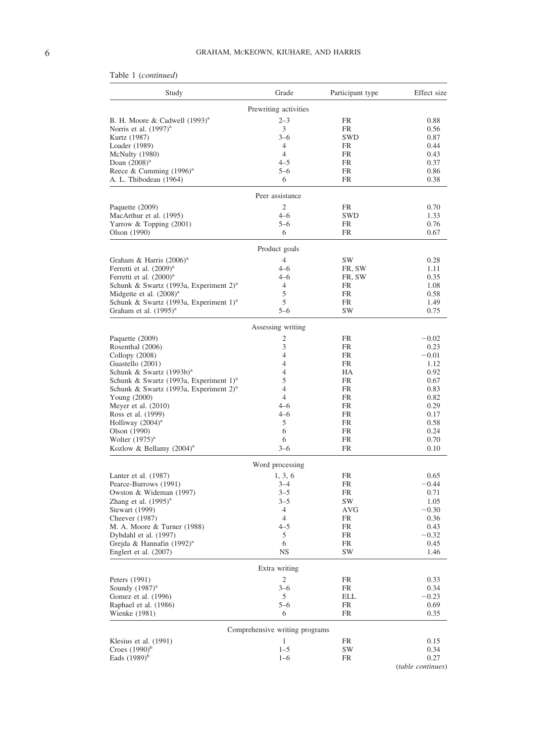| Study                                                  | Grade                          | Participant type | Effect size                |
|--------------------------------------------------------|--------------------------------|------------------|----------------------------|
|                                                        | Prewriting activities          |                  |                            |
| B. H. Moore & Cadwell $(1993)^a$                       | $2 - 3$                        | FR               | 0.88                       |
| Norris et al. $(1997)^{a}$                             | 3                              | FR               | 0.56                       |
| Kurtz (1987)                                           | $3 - 6$                        | SWD              | 0.87                       |
| Loader (1989)                                          | $\overline{4}$                 | FR               | 0.44                       |
| McNulty (1980)                                         | $\overline{4}$                 | FR               | 0.43                       |
| Doan $(2008)^a$                                        | $4 - 5$                        | FR               | 0.37                       |
| Reece & Cumming $(1996)^{a}$<br>A. L. Thibodeau (1964) | $5 - 6$<br>6                   | FR<br>FR         | 0.86<br>0.38               |
|                                                        |                                |                  |                            |
|                                                        | Peer assistance                |                  |                            |
| Paquette (2009)                                        | 2                              | FR               | 0.70                       |
| MacArthur et al. (1995)<br>Yarrow & Topping (2001)     | $4 - 6$<br>$5 - 6$             | SWD<br>FR        | 1.33<br>0.76               |
| Olson (1990)                                           | 6                              | <b>FR</b>        | 0.67                       |
|                                                        | Product goals                  |                  |                            |
| Graham & Harris (2006) <sup>a</sup>                    | $\overline{4}$                 | SW               | 0.28                       |
| Ferretti et al. $(2009)^a$                             | $4 - 6$                        | FR, SW           | 1.11                       |
| Ferretti et al. (2000) <sup>a</sup>                    | $4 - 6$                        | FR, SW           | 0.35                       |
| Schunk & Swartz (1993a, Experiment 2) <sup>a</sup>     | 4                              | FR               | 1.08                       |
| Midgette et al. $(2008)^a$                             | 5                              | FR               | 0.58                       |
| Schunk & Swartz (1993a, Experiment 1) <sup>a</sup>     | 5                              | FR               | 1.49                       |
| Graham et al. $(1995)^{a}$                             | $5 - 6$                        | SW               | 0.75                       |
|                                                        | Assessing writing              |                  |                            |
| Paquette (2009)                                        | 2                              | FR               | $-0.02$                    |
| Rosenthal (2006)                                       | 3<br>$\overline{4}$            | FR               | 0.23                       |
| Collopy $(2008)$<br>Guastello (2001)                   | $\overline{4}$                 | FR<br>FR         | $-0.01$<br>1.12            |
| Schunk & Swartz (1993b) <sup>a</sup>                   | $\overline{4}$                 | HA               | 0.92                       |
| Schunk & Swartz (1993a, Experiment 1) <sup>a</sup>     | 5                              | FR               | 0.67                       |
| Schunk & Swartz (1993a, Experiment 2) <sup>a</sup>     | $\overline{4}$                 | FR               | 0.83                       |
| Young (2000)                                           | $\overline{4}$                 | FR               | 0.82                       |
| Meyer et al. (2010)                                    | $4 - 6$                        | FR               | 0.29                       |
| Ross et al. (1999)                                     | $4 - 6$                        | FR               | 0.17                       |
| Holliway (2004) <sup>a</sup>                           | 5                              | FR               | 0.58                       |
| Olson (1990)                                           | 6                              | FR               | 0.24                       |
| Wolter $(1975)^a$<br>Kozlow & Bellamy $(2004)^a$       | 6<br>$3 - 6$                   | FR<br>FR         | 0.70<br>0.10               |
|                                                        |                                |                  |                            |
|                                                        | Word processing                |                  |                            |
| Lanter et al. $(1987)$                                 | 1, 3, 6                        | FR               | 0.65                       |
| Pearce-Burrows (1991)<br>Owston & Wideman (1997)       | $3 - 4$<br>$3 - 5$             | FR<br>FR         | $-0.44$<br>0.71            |
| Zhang et al. (1995) <sup>a</sup>                       | $3 - 5$                        | SW               | 1.05                       |
| Stewart (1999)                                         | 4                              | AVG              | $-0.30$                    |
| Cheever (1987)                                         | 4                              | FR               | 0.36                       |
| M. A. Moore & Turner (1988)                            | $4 - 5$                        | FR               | 0.43                       |
| Dybdahl et al. (1997)                                  | 5                              | FR               | $-0.32$                    |
| Grejda & Hannafin (1992) <sup>a</sup>                  | 6                              | FR               | 0.45                       |
| Englert et al. (2007)                                  | NS                             | SW               | 1.46                       |
|                                                        | Extra writing                  |                  |                            |
| Peters (1991)                                          | 2                              | FR               | 0.33                       |
| Soundy $(1987)^a$                                      | $3 - 6$                        | FR               | 0.34                       |
| Gomez et al. (1996)                                    | 5                              | ELL              | $-0.23$                    |
| Raphael et al. (1986)<br>Wienke (1981)                 | $5 - 6$<br>6                   | FR<br>FR         | 0.69<br>0.35               |
|                                                        | Comprehensive writing programs |                  |                            |
| Klesius et al. (1991)                                  | 1                              | FR               | 0.15                       |
| Croes $(1990)^b$                                       | $1 - 5$                        | SW               | 0.34                       |
| Eads $(1989)^b$                                        | $1 - 6$                        | FR               | 0.27                       |
|                                                        |                                |                  | ( <i>table continues</i> ) |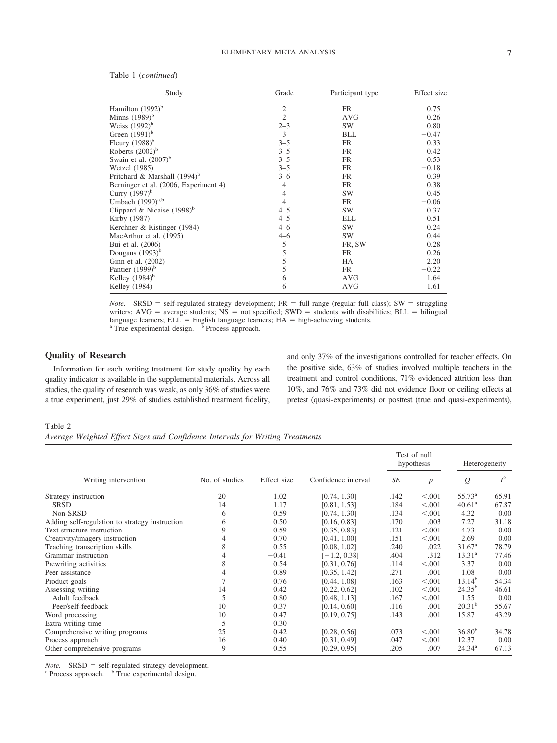| Study                                 | Grade          | Participant type | Effect size |  |
|---------------------------------------|----------------|------------------|-------------|--|
| Hamilton $(1992)^b$                   | $\mathfrak{2}$ | FR               | 0.75        |  |
| Minns $(1989)^b$                      | $\overline{2}$ | AVG              | 0.26        |  |
| Weiss $(1992)^b$                      | $2 - 3$        | SW               | 0.80        |  |
| Green $(1991)^b$                      | 3              | BLL              | $-0.47$     |  |
| Fleury $(1988)^b$                     | $3 - 5$        | FR               | 0.33        |  |
| Roberts $(2002)^b$                    | $3 - 5$        | FR               | 0.42        |  |
| Swain et al. $(2007)^b$               | $3 - 5$        | FR               | 0.53        |  |
| Wetzel (1985)                         | $3 - 5$        | FR               | $-0.18$     |  |
| Pritchard & Marshall $(1994)^b$       | $3 - 6$        | FR               | 0.39        |  |
| Berninger et al. (2006, Experiment 4) | 4              | <b>FR</b>        | 0.38        |  |
| Curry $(1997)^b$                      | $\overline{4}$ | SW               | 0.45        |  |
| Umbach $(1990)^{a,b}$                 | $\overline{4}$ | FR               | $-0.06$     |  |
| Clippard & Nicaise $(1998)^b$         | $4 - 5$        | SW               | 0.37        |  |
| Kirby (1987)                          | $4 - 5$        | ELL              | 0.51        |  |
| Kerchner & Kistinger (1984)           | $4 - 6$        | <b>SW</b>        | 0.24        |  |
| MacArthur et al. (1995)               | $4 - 6$        | SW               | 0.44        |  |
| Bui et al. (2006)                     | 5              | FR, SW           | 0.28        |  |
| Dougans $(1993)^b$                    | 5              | FR               | 0.26        |  |
| Ginn et al. (2002)                    | 5              | HA               | 2.20        |  |
| Pantier $(1999)^b$                    | 5              | <b>FR</b>        | $-0.22$     |  |
| Kelley $(1984)^b$                     | 6              | AVG              | 1.64        |  |
| Kelley (1984)                         | 6              | <b>AVG</b>       | 1.61        |  |

Table 1 (*continued*)

*Note.* SRSD = self-regulated strategy development; FR = full range (regular full class); SW = struggling writers;  $AVG = average students$ ;  $NS = not specified$ ;  $SWD = students$  with disabilities;  $BL = bilingual$ language learners; ELL = English language learners; HA = high-achieving students. a True experimental design. b Process approach.

#### **Quality of Research**

Information for each writing treatment for study quality by each quality indicator is available in the supplemental materials. Across all studies, the quality of research was weak, as only 36% of studies were a true experiment, just 29% of studies established treatment fidelity, and only 37% of the investigations controlled for teacher effects. On the positive side, 63% of studies involved multiple teachers in the treatment and control conditions, 71% evidenced attrition less than 10%, and 76% and 73% did not evidence floor or ceiling effects at pretest (quasi-experiments) or posttest (true and quasi-experiments),

#### Table 2

*Average Weighted Effect Sizes and Confidence Intervals for Writing Treatments*

|                                                | No. of studies | Effect size | Confidence interval | Test of null<br>hypothesis |                  | Heterogeneity      |       |
|------------------------------------------------|----------------|-------------|---------------------|----------------------------|------------------|--------------------|-------|
| Writing intervention                           |                |             |                     | SE                         | $\boldsymbol{p}$ | Q                  | $I^2$ |
| Strategy instruction                           | 20             | 1.02        | [0.74, 1.30]        | .142                       | < 0.001          | $55.73^{\rm a}$    | 65.91 |
| <b>SRSD</b>                                    | 14             | 1.17        | [0.81, 1.53]        | .184                       | < 0.001          | $40.61^{\rm a}$    | 67.87 |
| Non-SRSD                                       | 6              | 0.59        | [0.74, 1.30]        | .134                       | < 0.001          | 4.32               | 0.00  |
| Adding self-regulation to strategy instruction | 6              | 0.50        | [0.16, 0.83]        | .170                       | .003             | 7.27               | 31.18 |
| Text structure instruction                     | 9              | 0.59        | [0.35, 0.83]        | .121                       | < 0.001          | 4.73               | 0.00  |
| Creativity/imagery instruction                 |                | 0.70        | [0.41, 1.00]        | .151                       | < 0.001          | 2.69               | 0.00  |
| Teaching transcription skills                  | 8              | 0.55        | [0.08, 1.02]        | .240                       | .022             | $31.67^{\rm a}$    | 78.79 |
| Grammar instruction                            |                | $-0.41$     | $[-1.2, 0.38]$      | .404                       | .312             | $13.31^{a}$        | 77.46 |
| Prewriting activities                          | 8              | 0.54        | [0.31, 0.76]        | .114                       | < 0.001          | 3.37               | 0.00  |
| Peer assistance                                | 4              | 0.89        | [0.35, 1.42]        | .271                       | .001             | 1.08               | 0.00  |
| Product goals                                  | $\overline{7}$ | 0.76        | [0.44, 1.08]        | .163                       | < 0.001          | $13.14^{b}$        | 54.34 |
| Assessing writing                              | 14             | 0.42        | [0.22, 0.62]        | .102                       | < 0.001          | $24.35^{b}$        | 46.61 |
| Adult feedback                                 | 5              | 0.80        | [0.48, 1.13]        | .167                       | < 0.001          | 1.55               | 0.00  |
| Peer/self-feedback                             | 10             | 0.37        | [0.14, 0.60]        | .116                       | .001             | 20.31 <sup>b</sup> | 55.67 |
| Word processing                                | 10             | 0.47        | [0.19, 0.75]        | .143                       | .001             | 15.87              | 43.29 |
| Extra writing time                             | 5              | 0.30        |                     |                            |                  |                    |       |
| Comprehensive writing programs                 | 25             | 0.42        | [0.28, 0.56]        | .073                       | < 0.001          | 36.80 <sup>b</sup> | 34.78 |
| Process approach                               | 16             | 0.40        | [0.31, 0.49]        | .047                       | < 0.001          | 12.37              | 0.00  |
| Other comprehensive programs                   | 9              | 0.55        | [0.29, 0.95]        | .205                       | .007             | $24.34^{\rm a}$    | 67.13 |

*Note.* SRSD = self-regulated strategy development.  $a^b$  Process approach.  $b^b$  True experimental design.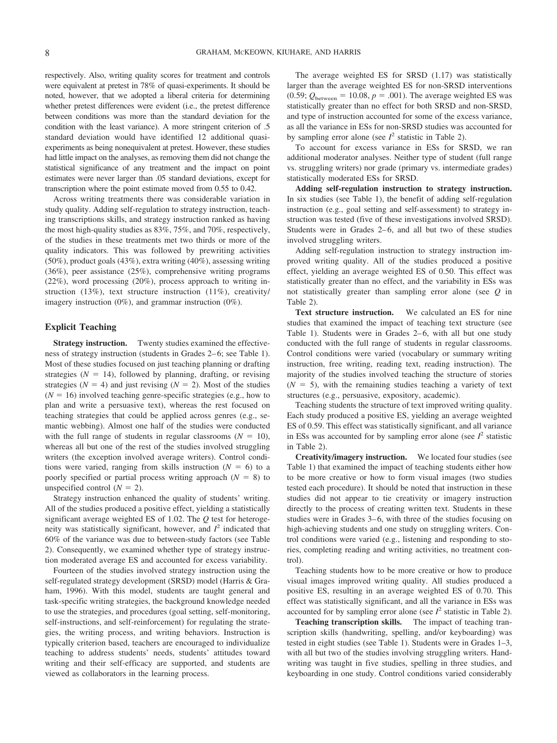respectively. Also, writing quality scores for treatment and controls were equivalent at pretest in 78% of quasi-experiments. It should be noted, however, that we adopted a liberal criteria for determining whether pretest differences were evident (i.e., the pretest difference between conditions was more than the standard deviation for the condition with the least variance). A more stringent criterion of .5 standard deviation would have identified 12 additional quasiexperiments as being nonequivalent at pretest. However, these studies had little impact on the analyses, as removing them did not change the statistical significance of any treatment and the impact on point estimates were never larger than .05 standard deviations, except for transcription where the point estimate moved from 0.55 to 0.42.

Across writing treatments there was considerable variation in study quality. Adding self-regulation to strategy instruction, teaching transcriptions skills, and strategy instruction ranked as having the most high-quality studies as 83%, 75%, and 70%, respectively, of the studies in these treatments met two thirds or more of the quality indicators. This was followed by prewriting activities (50%), product goals (43%), extra writing (40%), assessing writing (36%), peer assistance (25%), comprehensive writing programs (22%), word processing (20%), process approach to writing instruction (13%), text structure instruction (11%), creativity/ imagery instruction (0%), and grammar instruction (0%).

#### **Explicit Teaching**

**Strategy instruction.** Twenty studies examined the effectiveness of strategy instruction (students in Grades 2–6; see Table 1). Most of these studies focused on just teaching planning or drafting strategies  $(N = 14)$ , followed by planning, drafting, or revising strategies  $(N = 4)$  and just revising  $(N = 2)$ . Most of the studies  $(N = 16)$  involved teaching genre-specific strategies (e.g., how to plan and write a persuasive text), whereas the rest focused on teaching strategies that could be applied across genres (e.g., semantic webbing). Almost one half of the studies were conducted with the full range of students in regular classrooms  $(N = 10)$ , whereas all but one of the rest of the studies involved struggling writers (the exception involved average writers). Control conditions were varied, ranging from skills instruction  $(N = 6)$  to a poorly specified or partial process writing approach  $(N = 8)$  to unspecified control  $(N = 2)$ .

Strategy instruction enhanced the quality of students' writing. All of the studies produced a positive effect, yielding a statistically significant average weighted ES of 1.02. The *Q* test for heterogeneity was statistically significant, however, and *I* <sup>2</sup> indicated that 60% of the variance was due to between-study factors (see Table 2). Consequently, we examined whether type of strategy instruction moderated average ES and accounted for excess variability.

Fourteen of the studies involved strategy instruction using the self-regulated strategy development (SRSD) model (Harris & Graham, 1996). With this model, students are taught general and task-specific writing strategies, the background knowledge needed to use the strategies, and procedures (goal setting, self-monitoring, self-instructions, and self-reinforcement) for regulating the strategies, the writing process, and writing behaviors. Instruction is typically criterion based, teachers are encouraged to individualize teaching to address students' needs, students' attitudes toward writing and their self-efficacy are supported, and students are viewed as collaborators in the learning process.

The average weighted ES for SRSD (1.17) was statistically larger than the average weighted ES for non-SRSD interventions  $(0.59; Q_{between} = 10.08, p = .001)$ . The average weighted ES was statistically greater than no effect for both SRSD and non-SRSD, and type of instruction accounted for some of the excess variance, as all the variance in ESs for non-SRSD studies was accounted for by sampling error alone (see  $I^2$  statistic in Table 2).

To account for excess variance in ESs for SRSD, we ran additional moderator analyses. Neither type of student (full range vs. struggling writers) nor grade (primary vs. intermediate grades) statistically moderated ESs for SRSD.

**Adding self-regulation instruction to strategy instruction.** In six studies (see Table 1), the benefit of adding self-regulation instruction (e.g., goal setting and self-assessment) to strategy instruction was tested (five of these investigations involved SRSD). Students were in Grades 2–6, and all but two of these studies involved struggling writers.

Adding self-regulation instruction to strategy instruction improved writing quality. All of the studies produced a positive effect, yielding an average weighted ES of 0.50. This effect was statistically greater than no effect, and the variability in ESs was not statistically greater than sampling error alone (see *Q* in Table 2).

**Text structure instruction.** We calculated an ES for nine studies that examined the impact of teaching text structure (see Table 1). Students were in Grades 2–6, with all but one study conducted with the full range of students in regular classrooms. Control conditions were varied (vocabulary or summary writing instruction, free writing, reading text, reading instruction). The majority of the studies involved teaching the structure of stories  $(N = 5)$ , with the remaining studies teaching a variety of text structures (e.g., persuasive, expository, academic).

Teaching students the structure of text improved writing quality. Each study produced a positive ES, yielding an average weighted ES of 0.59. This effect was statistically significant, and all variance in ESs was accounted for by sampling error alone (see  $I<sup>2</sup>$  statistic in Table 2).

**Creativity/imagery instruction.** We located four studies (see Table 1) that examined the impact of teaching students either how to be more creative or how to form visual images (two studies tested each procedure). It should be noted that instruction in these studies did not appear to tie creativity or imagery instruction directly to the process of creating written text. Students in these studies were in Grades 3–6, with three of the studies focusing on high-achieving students and one study on struggling writers. Control conditions were varied (e.g., listening and responding to stories, completing reading and writing activities, no treatment control).

Teaching students how to be more creative or how to produce visual images improved writing quality. All studies produced a positive ES, resulting in an average weighted ES of 0.70. This effect was statistically significant, and all the variance in ESs was accounted for by sampling error alone (see  $I^2$  statistic in Table 2).

**Teaching transcription skills.** The impact of teaching transcription skills (handwriting, spelling, and/or keyboarding) was tested in eight studies (see Table 1). Students were in Grades 1–3, with all but two of the studies involving struggling writers. Handwriting was taught in five studies, spelling in three studies, and keyboarding in one study. Control conditions varied considerably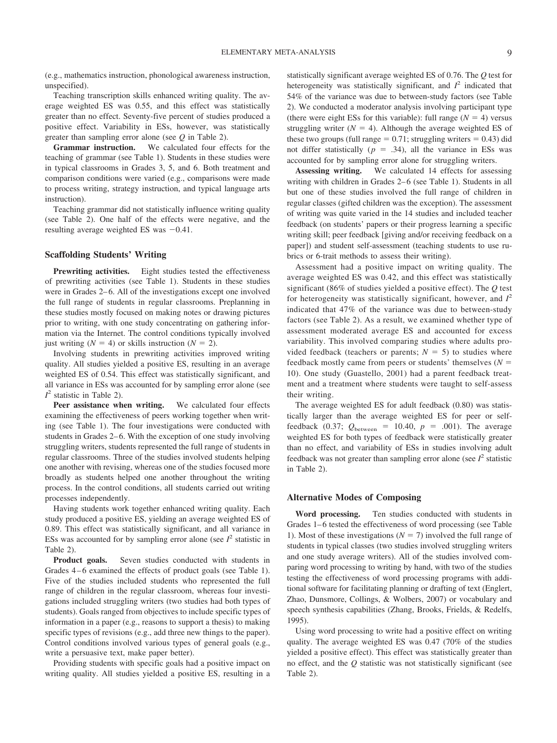(e.g., mathematics instruction, phonological awareness instruction, unspecified).

Teaching transcription skills enhanced writing quality. The average weighted ES was 0.55, and this effect was statistically greater than no effect. Seventy-five percent of studies produced a positive effect. Variability in ESs, however, was statistically greater than sampling error alone (see *Q* in Table 2).

**Grammar instruction.** We calculated four effects for the teaching of grammar (see Table 1). Students in these studies were in typical classrooms in Grades 3, 5, and 6. Both treatment and comparison conditions were varied (e.g., comparisons were made to process writing, strategy instruction, and typical language arts instruction).

Teaching grammar did not statistically influence writing quality (see Table 2). One half of the effects were negative, and the resulting average weighted ES was  $-0.41$ .

#### **Scaffolding Students' Writing**

Prewriting activities. Eight studies tested the effectiveness of prewriting activities (see Table 1). Students in these studies were in Grades 2–6. All of the investigations except one involved the full range of students in regular classrooms. Preplanning in these studies mostly focused on making notes or drawing pictures prior to writing, with one study concentrating on gathering information via the Internet. The control conditions typically involved just writing  $(N = 4)$  or skills instruction  $(N = 2)$ .

Involving students in prewriting activities improved writing quality. All studies yielded a positive ES, resulting in an average weighted ES of 0.54. This effect was statistically significant, and all variance in ESs was accounted for by sampling error alone (see  $I^2$  statistic in Table 2).

**Peer assistance when writing.** We calculated four effects examining the effectiveness of peers working together when writing (see Table 1). The four investigations were conducted with students in Grades 2–6. With the exception of one study involving struggling writers, students represented the full range of students in regular classrooms. Three of the studies involved students helping one another with revising, whereas one of the studies focused more broadly as students helped one another throughout the writing process. In the control conditions, all students carried out writing processes independently.

Having students work together enhanced writing quality. Each study produced a positive ES, yielding an average weighted ES of 0.89. This effect was statistically significant, and all variance in ESs was accounted for by sampling error alone (see  $I<sup>2</sup>$  statistic in Table 2).

Product goals. Seven studies conducted with students in Grades 4–6 examined the effects of product goals (see Table 1). Five of the studies included students who represented the full range of children in the regular classroom, whereas four investigations included struggling writers (two studies had both types of students). Goals ranged from objectives to include specific types of information in a paper (e.g., reasons to support a thesis) to making specific types of revisions (e.g., add three new things to the paper). Control conditions involved various types of general goals (e.g., write a persuasive text, make paper better).

Providing students with specific goals had a positive impact on writing quality. All studies yielded a positive ES, resulting in a

statistically significant average weighted ES of 0.76. The *Q* test for heterogeneity was statistically significant, and  $I^2$  indicated that 54% of the variance was due to between-study factors (see Table 2). We conducted a moderator analysis involving participant type (there were eight ESs for this variable): full range  $(N = 4)$  versus struggling writer  $(N = 4)$ . Although the average weighted ES of these two groups (full range  $= 0.71$ ; struggling writers  $= 0.43$ ) did not differ statistically ( $p = .34$ ), all the variance in ESs was accounted for by sampling error alone for struggling writers.

**Assessing writing.** We calculated 14 effects for assessing writing with children in Grades 2–6 (see Table 1). Students in all but one of these studies involved the full range of children in regular classes (gifted children was the exception). The assessment of writing was quite varied in the 14 studies and included teacher feedback (on students' papers or their progress learning a specific writing skill; peer feedback [giving and/or receiving feedback on a paper]) and student self-assessment (teaching students to use rubrics or 6-trait methods to assess their writing).

Assessment had a positive impact on writing quality. The average weighted ES was 0.42, and this effect was statistically significant (86% of studies yielded a positive effect). The *Q* test for heterogeneity was statistically significant, however, and *I* 2 indicated that 47% of the variance was due to between-study factors (see Table 2). As a result, we examined whether type of assessment moderated average ES and accounted for excess variability. This involved comparing studies where adults provided feedback (teachers or parents;  $N = 5$ ) to studies where feedback mostly came from peers or students' themselves (*N* 10). One study (Guastello, 2001) had a parent feedback treatment and a treatment where students were taught to self-assess their writing.

The average weighted ES for adult feedback (0.80) was statistically larger than the average weighted ES for peer or selffeedback (0.37;  $Q_{\text{between}} = 10.40, p = .001$ ). The average weighted ES for both types of feedback were statistically greater than no effect, and variability of ESs in studies involving adult feedback was not greater than sampling error alone (see  $I^2$  statistic in Table 2).

#### **Alternative Modes of Composing**

**Word processing.** Ten studies conducted with students in Grades 1–6 tested the effectiveness of word processing (see Table 1). Most of these investigations ( $N = 7$ ) involved the full range of students in typical classes (two studies involved struggling writers and one study average writers). All of the studies involved comparing word processing to writing by hand, with two of the studies testing the effectiveness of word processing programs with additional software for facilitating planning or drafting of text (Englert, Zhao, Dunsmore, Collings, & Wolbers, 2007) or vocabulary and speech synthesis capabilities (Zhang, Brooks, Frields, & Redelfs, 1995).

Using word processing to write had a positive effect on writing quality. The average weighted ES was 0.47 (70% of the studies yielded a positive effect). This effect was statistically greater than no effect, and the *Q* statistic was not statistically significant (see Table 2).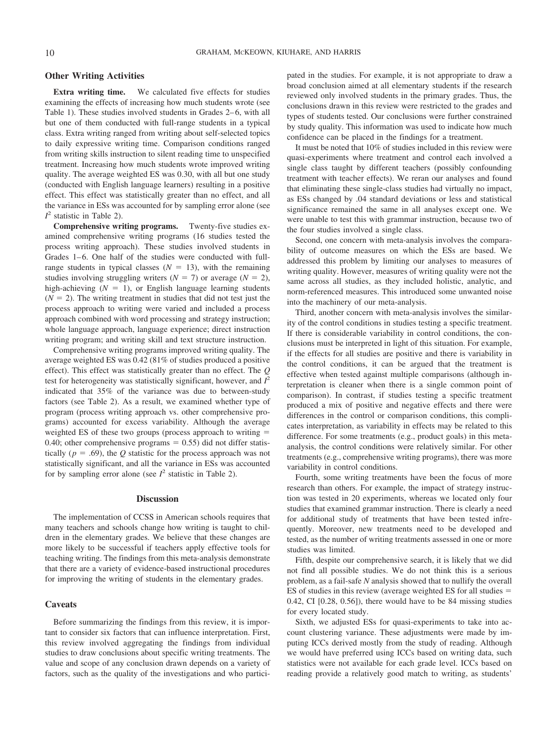#### **Other Writing Activities**

**Extra writing time.** We calculated five effects for studies examining the effects of increasing how much students wrote (see Table 1). These studies involved students in Grades 2–6, with all but one of them conducted with full-range students in a typical class. Extra writing ranged from writing about self-selected topics to daily expressive writing time. Comparison conditions ranged from writing skills instruction to silent reading time to unspecified treatment. Increasing how much students wrote improved writing quality. The average weighted ES was 0.30, with all but one study (conducted with English language learners) resulting in a positive effect. This effect was statistically greater than no effect, and all the variance in ESs was accounted for by sampling error alone (see  $I^2$  statistic in Table 2).

**Comprehensive writing programs.** Twenty-five studies examined comprehensive writing programs (16 studies tested the process writing approach). These studies involved students in Grades 1–6. One half of the studies were conducted with fullrange students in typical classes  $(N = 13)$ , with the remaining studies involving struggling writers  $(N = 7)$  or average  $(N = 2)$ , high-achieving  $(N = 1)$ , or English language learning students  $(N = 2)$ . The writing treatment in studies that did not test just the process approach to writing were varied and included a process approach combined with word processing and strategy instruction; whole language approach, language experience; direct instruction writing program; and writing skill and text structure instruction.

Comprehensive writing programs improved writing quality. The average weighted ES was 0.42 (81% of studies produced a positive effect). This effect was statistically greater than no effect. The *Q* test for heterogeneity was statistically significant, however, and *I* 2 indicated that 35% of the variance was due to between-study factors (see Table 2). As a result, we examined whether type of program (process writing approach vs. other comprehensive programs) accounted for excess variability. Although the average weighted ES of these two groups (process approach to writing 0.40; other comprehensive programs  $= 0.55$ ) did not differ statistically ( $p = .69$ ), the *Q* statistic for the process approach was not statistically significant, and all the variance in ESs was accounted for by sampling error alone (see  $I^2$  statistic in Table 2).

#### **Discussion**

The implementation of CCSS in American schools requires that many teachers and schools change how writing is taught to children in the elementary grades. We believe that these changes are more likely to be successful if teachers apply effective tools for teaching writing. The findings from this meta-analysis demonstrate that there are a variety of evidence-based instructional procedures for improving the writing of students in the elementary grades.

#### **Caveats**

Before summarizing the findings from this review, it is important to consider six factors that can influence interpretation. First, this review involved aggregating the findings from individual studies to draw conclusions about specific writing treatments. The value and scope of any conclusion drawn depends on a variety of factors, such as the quality of the investigations and who participated in the studies. For example, it is not appropriate to draw a broad conclusion aimed at all elementary students if the research reviewed only involved students in the primary grades. Thus, the conclusions drawn in this review were restricted to the grades and types of students tested. Our conclusions were further constrained by study quality. This information was used to indicate how much confidence can be placed in the findings for a treatment.

It must be noted that 10% of studies included in this review were quasi-experiments where treatment and control each involved a single class taught by different teachers (possibly confounding treatment with teacher effects). We reran our analyses and found that eliminating these single-class studies had virtually no impact, as ESs changed by .04 standard deviations or less and statistical significance remained the same in all analyses except one. We were unable to test this with grammar instruction, because two of the four studies involved a single class.

Second, one concern with meta-analysis involves the comparability of outcome measures on which the ESs are based. We addressed this problem by limiting our analyses to measures of writing quality. However, measures of writing quality were not the same across all studies, as they included holistic, analytic, and norm-referenced measures. This introduced some unwanted noise into the machinery of our meta-analysis.

Third, another concern with meta-analysis involves the similarity of the control conditions in studies testing a specific treatment. If there is considerable variability in control conditions, the conclusions must be interpreted in light of this situation. For example, if the effects for all studies are positive and there is variability in the control conditions, it can be argued that the treatment is effective when tested against multiple comparisons (although interpretation is cleaner when there is a single common point of comparison). In contrast, if studies testing a specific treatment produced a mix of positive and negative effects and there were differences in the control or comparison conditions, this complicates interpretation, as variability in effects may be related to this difference. For some treatments (e.g., product goals) in this metaanalysis, the control conditions were relatively similar. For other treatments (e.g., comprehensive writing programs), there was more variability in control conditions.

Fourth, some writing treatments have been the focus of more research than others. For example, the impact of strategy instruction was tested in 20 experiments, whereas we located only four studies that examined grammar instruction. There is clearly a need for additional study of treatments that have been tested infrequently. Moreover, new treatments need to be developed and tested, as the number of writing treatments assessed in one or more studies was limited.

Fifth, despite our comprehensive search, it is likely that we did not find all possible studies. We do not think this is a serious problem, as a fail-safe *N* analysis showed that to nullify the overall ES of studies in this review (average weighted ES for all studies 0.42, CI [0.28, 0.56]), there would have to be 84 missing studies for every located study.

Sixth, we adjusted ESs for quasi-experiments to take into account clustering variance. These adjustments were made by imputing ICCs derived mostly from the study of reading. Although we would have preferred using ICCs based on writing data, such statistics were not available for each grade level. ICCs based on reading provide a relatively good match to writing, as students'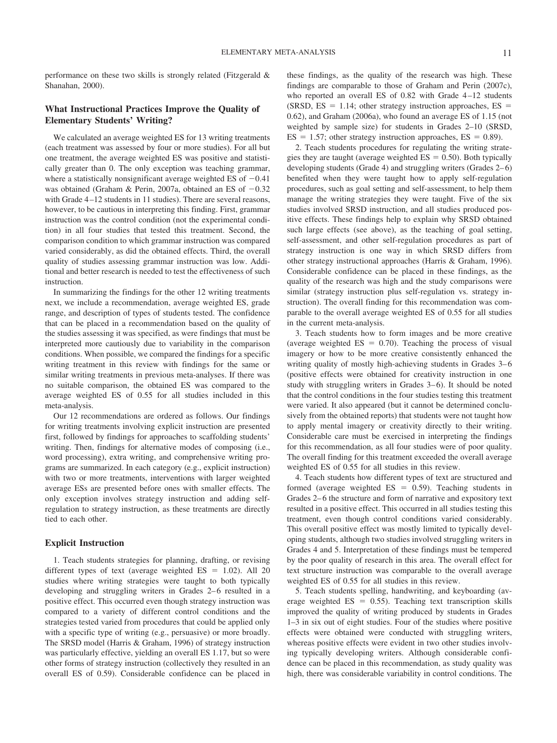performance on these two skills is strongly related (Fitzgerald &

#### **What Instructional Practices Improve the Quality of Elementary Students' Writing?**

Shanahan, 2000).

We calculated an average weighted ES for 13 writing treatments (each treatment was assessed by four or more studies). For all but one treatment, the average weighted ES was positive and statistically greater than 0. The only exception was teaching grammar, where a statistically nonsignificant average weighted ES of  $-0.41$ was obtained (Graham & Perin, 2007a, obtained an ES of  $-0.32$ with Grade 4–12 students in 11 studies). There are several reasons, however, to be cautious in interpreting this finding. First, grammar instruction was the control condition (not the experimental condition) in all four studies that tested this treatment. Second, the comparison condition to which grammar instruction was compared varied considerably, as did the obtained effects. Third, the overall quality of studies assessing grammar instruction was low. Additional and better research is needed to test the effectiveness of such instruction.

In summarizing the findings for the other 12 writing treatments next, we include a recommendation, average weighted ES, grade range, and description of types of students tested. The confidence that can be placed in a recommendation based on the quality of the studies assessing it was specified, as were findings that must be interpreted more cautiously due to variability in the comparison conditions. When possible, we compared the findings for a specific writing treatment in this review with findings for the same or similar writing treatments in previous meta-analyses. If there was no suitable comparison, the obtained ES was compared to the average weighted ES of 0.55 for all studies included in this meta-analysis.

Our 12 recommendations are ordered as follows. Our findings for writing treatments involving explicit instruction are presented first, followed by findings for approaches to scaffolding students' writing. Then, findings for alternative modes of composing (i.e., word processing), extra writing, and comprehensive writing programs are summarized. In each category (e.g., explicit instruction) with two or more treatments, interventions with larger weighted average ESs are presented before ones with smaller effects. The only exception involves strategy instruction and adding selfregulation to strategy instruction, as these treatments are directly tied to each other.

#### **Explicit Instruction**

1. Teach students strategies for planning, drafting, or revising different types of text (average weighted  $ES = 1.02$ ). All 20 studies where writing strategies were taught to both typically developing and struggling writers in Grades 2–6 resulted in a positive effect. This occurred even though strategy instruction was compared to a variety of different control conditions and the strategies tested varied from procedures that could be applied only with a specific type of writing (e.g., persuasive) or more broadly. The SRSD model (Harris & Graham, 1996) of strategy instruction was particularly effective, yielding an overall ES 1.17, but so were other forms of strategy instruction (collectively they resulted in an overall ES of 0.59). Considerable confidence can be placed in

these findings, as the quality of the research was high. These findings are comparable to those of Graham and Perin (2007c), who reported an overall ES of 0.82 with Grade 4–12 students  $(SRSD, ES = 1.14; other strategy instruction approaches, ES =$ 0.62), and Graham (2006a), who found an average ES of 1.15 (not weighted by sample size) for students in Grades 2–10 (SRSD,  $ES = 1.57$ ; other strategy instruction approaches,  $ES = 0.89$ ).

2. Teach students procedures for regulating the writing strategies they are taught (average weighted  $ES = 0.50$ ). Both typically developing students (Grade 4) and struggling writers (Grades 2–6) benefited when they were taught how to apply self-regulation procedures, such as goal setting and self-assessment, to help them manage the writing strategies they were taught. Five of the six studies involved SRSD instruction, and all studies produced positive effects. These findings help to explain why SRSD obtained such large effects (see above), as the teaching of goal setting, self-assessment, and other self-regulation procedures as part of strategy instruction is one way in which SRSD differs from other strategy instructional approaches (Harris & Graham, 1996). Considerable confidence can be placed in these findings, as the quality of the research was high and the study comparisons were similar (strategy instruction plus self-regulation vs. strategy instruction). The overall finding for this recommendation was comparable to the overall average weighted ES of 0.55 for all studies in the current meta-analysis.

3. Teach students how to form images and be more creative (average weighted  $ES = 0.70$ ). Teaching the process of visual imagery or how to be more creative consistently enhanced the writing quality of mostly high-achieving students in Grades 3–6 (positive effects were obtained for creativity instruction in one study with struggling writers in Grades 3–6). It should be noted that the control conditions in the four studies testing this treatment were varied. It also appeared (but it cannot be determined conclusively from the obtained reports) that students were not taught how to apply mental imagery or creativity directly to their writing. Considerable care must be exercised in interpreting the findings for this recommendation, as all four studies were of poor quality. The overall finding for this treatment exceeded the overall average weighted ES of 0.55 for all studies in this review.

4. Teach students how different types of text are structured and formed (average weighted  $ES = 0.59$ ). Teaching students in Grades 2–6 the structure and form of narrative and expository text resulted in a positive effect. This occurred in all studies testing this treatment, even though control conditions varied considerably. This overall positive effect was mostly limited to typically developing students, although two studies involved struggling writers in Grades 4 and 5. Interpretation of these findings must be tempered by the poor quality of research in this area. The overall effect for text structure instruction was comparable to the overall average weighted ES of 0.55 for all studies in this review.

5. Teach students spelling, handwriting, and keyboarding (average weighted  $ES = 0.55$ ). Teaching text transcription skills improved the quality of writing produced by students in Grades 1–3 in six out of eight studies. Four of the studies where positive effects were obtained were conducted with struggling writers, whereas positive effects were evident in two other studies involving typically developing writers. Although considerable confidence can be placed in this recommendation, as study quality was high, there was considerable variability in control conditions. The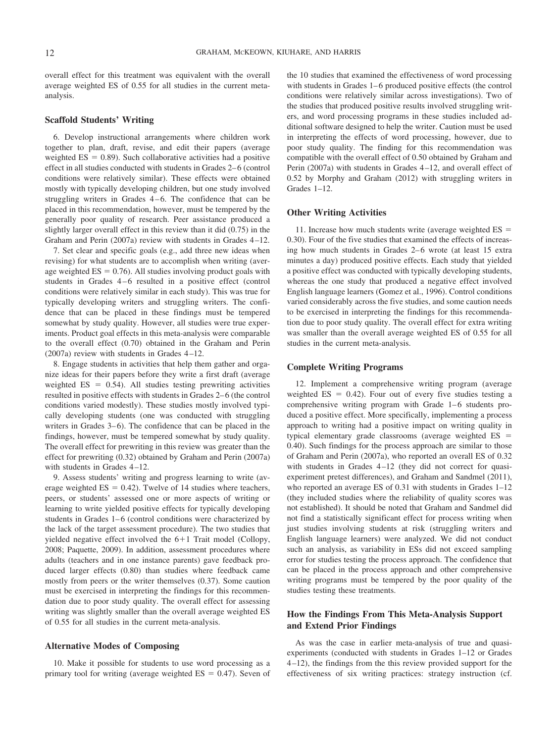overall effect for this treatment was equivalent with the overall average weighted ES of 0.55 for all studies in the current metaanalysis.

#### **Scaffold Students' Writing**

6. Develop instructional arrangements where children work together to plan, draft, revise, and edit their papers (average weighted  $ES = 0.89$ ). Such collaborative activities had a positive effect in all studies conducted with students in Grades 2–6 (control conditions were relatively similar). These effects were obtained mostly with typically developing children, but one study involved struggling writers in Grades 4–6. The confidence that can be placed in this recommendation, however, must be tempered by the generally poor quality of research. Peer assistance produced a slightly larger overall effect in this review than it did (0.75) in the Graham and Perin (2007a) review with students in Grades 4–12.

7. Set clear and specific goals (e.g., add three new ideas when revising) for what students are to accomplish when writing (average weighted  $ES = 0.76$ ). All studies involving product goals with students in Grades 4–6 resulted in a positive effect (control conditions were relatively similar in each study). This was true for typically developing writers and struggling writers. The confidence that can be placed in these findings must be tempered somewhat by study quality. However, all studies were true experiments. Product goal effects in this meta-analysis were comparable to the overall effect (0.70) obtained in the Graham and Perin (2007a) review with students in Grades 4–12.

8. Engage students in activities that help them gather and organize ideas for their papers before they write a first draft (average weighted  $ES = 0.54$ ). All studies testing prewriting activities resulted in positive effects with students in Grades 2–6 (the control conditions varied modestly). These studies mostly involved typically developing students (one was conducted with struggling writers in Grades 3–6). The confidence that can be placed in the findings, however, must be tempered somewhat by study quality. The overall effect for prewriting in this review was greater than the effect for prewriting (0.32) obtained by Graham and Perin (2007a) with students in Grades 4–12.

9. Assess students' writing and progress learning to write (average weighted  $ES = 0.42$ ). Twelve of 14 studies where teachers, peers, or students' assessed one or more aspects of writing or learning to write yielded positive effects for typically developing students in Grades 1–6 (control conditions were characterized by the lack of the target assessment procedure). The two studies that yielded negative effect involved the  $6+1$  Trait model (Collopy, 2008; Paquette, 2009). In addition, assessment procedures where adults (teachers and in one instance parents) gave feedback produced larger effects (0.80) than studies where feedback came mostly from peers or the writer themselves (0.37). Some caution must be exercised in interpreting the findings for this recommendation due to poor study quality. The overall effect for assessing writing was slightly smaller than the overall average weighted ES of 0.55 for all studies in the current meta-analysis.

#### **Alternative Modes of Composing**

10. Make it possible for students to use word processing as a primary tool for writing (average weighted  $ES = 0.47$ ). Seven of the 10 studies that examined the effectiveness of word processing with students in Grades 1–6 produced positive effects (the control conditions were relatively similar across investigations). Two of the studies that produced positive results involved struggling writers, and word processing programs in these studies included additional software designed to help the writer. Caution must be used in interpreting the effects of word processing, however, due to poor study quality. The finding for this recommendation was compatible with the overall effect of 0.50 obtained by Graham and Perin (2007a) with students in Grades 4–12, and overall effect of 0.52 by Morphy and Graham (2012) with struggling writers in Grades 1–12.

#### **Other Writing Activities**

11. Increase how much students write (average weighted ES 0.30). Four of the five studies that examined the effects of increasing how much students in Grades 2–6 wrote (at least 15 extra minutes a day) produced positive effects. Each study that yielded a positive effect was conducted with typically developing students, whereas the one study that produced a negative effect involved English language learners (Gomez et al., 1996). Control conditions varied considerably across the five studies, and some caution needs to be exercised in interpreting the findings for this recommendation due to poor study quality. The overall effect for extra writing was smaller than the overall average weighted ES of 0.55 for all studies in the current meta-analysis.

#### **Complete Writing Programs**

12. Implement a comprehensive writing program (average weighted  $ES = 0.42$ ). Four out of every five studies testing a comprehensive writing program with Grade 1–6 students produced a positive effect. More specifically, implementing a process approach to writing had a positive impact on writing quality in typical elementary grade classrooms (average weighted ES 0.40). Such findings for the process approach are similar to those of Graham and Perin (2007a), who reported an overall ES of 0.32 with students in Grades 4–12 (they did not correct for quasiexperiment pretest differences), and Graham and Sandmel (2011), who reported an average ES of 0.31 with students in Grades 1–12 (they included studies where the reliability of quality scores was not established). It should be noted that Graham and Sandmel did not find a statistically significant effect for process writing when just studies involving students at risk (struggling writers and English language learners) were analyzed. We did not conduct such an analysis, as variability in ESs did not exceed sampling error for studies testing the process approach. The confidence that can be placed in the process approach and other comprehensive writing programs must be tempered by the poor quality of the studies testing these treatments.

### **How the Findings From This Meta-Analysis Support and Extend Prior Findings**

As was the case in earlier meta-analysis of true and quasiexperiments (conducted with students in Grades 1–12 or Grades 4–12), the findings from the this review provided support for the effectiveness of six writing practices: strategy instruction (cf.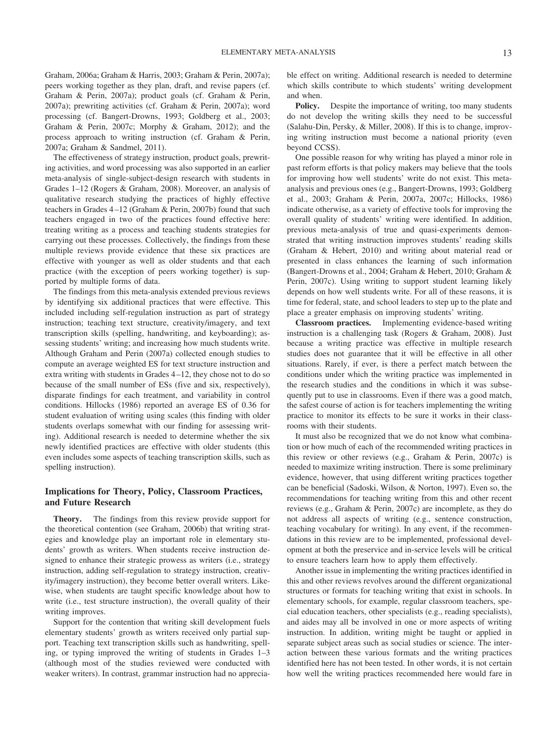Graham, 2006a; Graham & Harris, 2003; Graham & Perin, 2007a); peers working together as they plan, draft, and revise papers (cf. Graham & Perin, 2007a); product goals (cf. Graham & Perin, 2007a); prewriting activities (cf. Graham & Perin, 2007a); word processing (cf. Bangert-Drowns, 1993; Goldberg et al., 2003; Graham & Perin, 2007c; Morphy & Graham, 2012); and the process approach to writing instruction (cf. Graham & Perin, 2007a; Graham & Sandmel, 2011).

The effectiveness of strategy instruction, product goals, prewriting activities, and word processing was also supported in an earlier meta-analysis of single-subject-design research with students in Grades 1–12 (Rogers & Graham, 2008). Moreover, an analysis of qualitative research studying the practices of highly effective teachers in Grades 4–12 (Graham & Perin, 2007b) found that such teachers engaged in two of the practices found effective here: treating writing as a process and teaching students strategies for carrying out these processes. Collectively, the findings from these multiple reviews provide evidence that these six practices are effective with younger as well as older students and that each practice (with the exception of peers working together) is supported by multiple forms of data.

The findings from this meta-analysis extended previous reviews by identifying six additional practices that were effective. This included including self-regulation instruction as part of strategy instruction; teaching text structure, creativity/imagery, and text transcription skills (spelling, handwriting, and keyboarding); assessing students' writing; and increasing how much students write. Although Graham and Perin (2007a) collected enough studies to compute an average weighted ES for text structure instruction and extra writing with students in Grades 4–12, they chose not to do so because of the small number of ESs (five and six, respectively), disparate findings for each treatment, and variability in control conditions. Hillocks (1986) reported an average ES of 0.36 for student evaluation of writing using scales (this finding with older students overlaps somewhat with our finding for assessing writing). Additional research is needed to determine whether the six newly identified practices are effective with older students (this even includes some aspects of teaching transcription skills, such as spelling instruction).

## **Implications for Theory, Policy, Classroom Practices, and Future Research**

**Theory.** The findings from this review provide support for the theoretical contention (see Graham, 2006b) that writing strategies and knowledge play an important role in elementary students' growth as writers. When students receive instruction designed to enhance their strategic prowess as writers (i.e., strategy instruction, adding self-regulation to strategy instruction, creativity/imagery instruction), they become better overall writers. Likewise, when students are taught specific knowledge about how to write (i.e., test structure instruction), the overall quality of their writing improves.

Support for the contention that writing skill development fuels elementary students' growth as writers received only partial support. Teaching text transcription skills such as handwriting, spelling, or typing improved the writing of students in Grades 1–3 (although most of the studies reviewed were conducted with weaker writers). In contrast, grammar instruction had no appreciable effect on writing. Additional research is needed to determine which skills contribute to which students' writing development and when.

**Policy.** Despite the importance of writing, too many students do not develop the writing skills they need to be successful (Salahu-Din, Persky, & Miller, 2008). If this is to change, improving writing instruction must become a national priority (even beyond CCSS).

One possible reason for why writing has played a minor role in past reform efforts is that policy makers may believe that the tools for improving how well students' write do not exist. This metaanalysis and previous ones (e.g., Bangert-Drowns, 1993; Goldberg et al., 2003; Graham & Perin, 2007a, 2007c; Hillocks, 1986) indicate otherwise, as a variety of effective tools for improving the overall quality of students' writing were identified. In addition, previous meta-analysis of true and quasi-experiments demonstrated that writing instruction improves students' reading skills (Graham & Hebert, 2010) and writing about material read or presented in class enhances the learning of such information (Bangert-Drowns et al., 2004; Graham & Hebert, 2010; Graham & Perin, 2007c). Using writing to support student learning likely depends on how well students write. For all of these reasons, it is time for federal, state, and school leaders to step up to the plate and place a greater emphasis on improving students' writing.

**Classroom practices.** Implementing evidence-based writing instruction is a challenging task (Rogers & Graham, 2008). Just because a writing practice was effective in multiple research studies does not guarantee that it will be effective in all other situations. Rarely, if ever, is there a perfect match between the conditions under which the writing practice was implemented in the research studies and the conditions in which it was subsequently put to use in classrooms. Even if there was a good match, the safest course of action is for teachers implementing the writing practice to monitor its effects to be sure it works in their classrooms with their students.

It must also be recognized that we do not know what combination or how much of each of the recommended writing practices in this review or other reviews (e.g., Graham & Perin, 2007c) is needed to maximize writing instruction. There is some preliminary evidence, however, that using different writing practices together can be beneficial (Sadoski, Wilson, & Norton, 1997). Even so, the recommendations for teaching writing from this and other recent reviews (e.g., Graham & Perin, 2007c) are incomplete, as they do not address all aspects of writing (e.g., sentence construction, teaching vocabulary for writing). In any event, if the recommendations in this review are to be implemented, professional development at both the preservice and in-service levels will be critical to ensure teachers learn how to apply them effectively.

Another issue in implementing the writing practices identified in this and other reviews revolves around the different organizational structures or formats for teaching writing that exist in schools. In elementary schools, for example, regular classroom teachers, special education teachers, other specialists (e.g., reading specialists), and aides may all be involved in one or more aspects of writing instruction. In addition, writing might be taught or applied in separate subject areas such as social studies or science. The interaction between these various formats and the writing practices identified here has not been tested. In other words, it is not certain how well the writing practices recommended here would fare in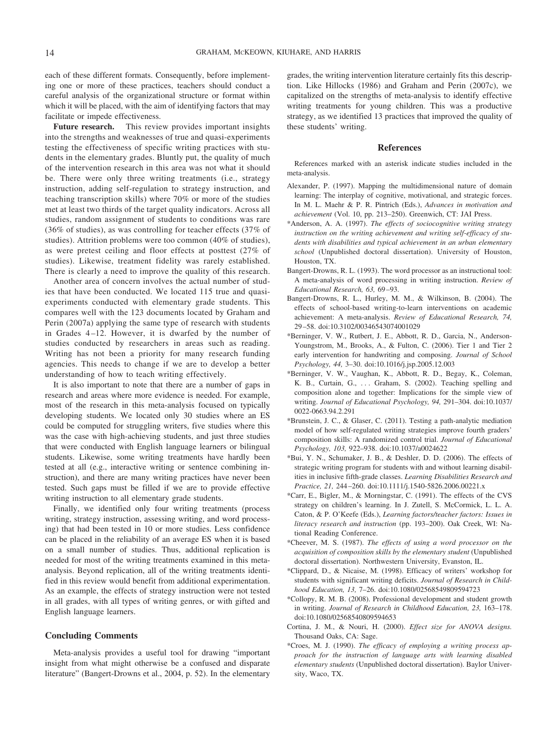each of these different formats. Consequently, before implementing one or more of these practices, teachers should conduct a careful analysis of the organizational structure or format within which it will be placed, with the aim of identifying factors that may facilitate or impede effectiveness.

**Future research.** This review provides important insights into the strengths and weaknesses of true and quasi-experiments testing the effectiveness of specific writing practices with students in the elementary grades. Bluntly put, the quality of much of the intervention research in this area was not what it should be. There were only three writing treatments (i.e., strategy instruction, adding self-regulation to strategy instruction, and teaching transcription skills) where 70% or more of the studies met at least two thirds of the target quality indicators. Across all studies, random assignment of students to conditions was rare (36% of studies), as was controlling for teacher effects (37% of studies). Attrition problems were too common (40% of studies), as were pretest ceiling and floor effects at posttest (27% of studies). Likewise, treatment fidelity was rarely established. There is clearly a need to improve the quality of this research.

Another area of concern involves the actual number of studies that have been conducted. We located 115 true and quasiexperiments conducted with elementary grade students. This compares well with the 123 documents located by Graham and Perin (2007a) applying the same type of research with students in Grades 4–12. However, it is dwarfed by the number of studies conducted by researchers in areas such as reading. Writing has not been a priority for many research funding agencies. This needs to change if we are to develop a better understanding of how to teach writing effectively.

It is also important to note that there are a number of gaps in research and areas where more evidence is needed. For example, most of the research in this meta-analysis focused on typically developing students. We located only 30 studies where an ES could be computed for struggling writers, five studies where this was the case with high-achieving students, and just three studies that were conducted with English language learners or bilingual students. Likewise, some writing treatments have hardly been tested at all (e.g., interactive writing or sentence combining instruction), and there are many writing practices have never been tested. Such gaps must be filled if we are to provide effective writing instruction to all elementary grade students.

Finally, we identified only four writing treatments (process writing, strategy instruction, assessing writing, and word processing) that had been tested in 10 or more studies. Less confidence can be placed in the reliability of an average ES when it is based on a small number of studies. Thus, additional replication is needed for most of the writing treatments examined in this metaanalysis. Beyond replication, all of the writing treatments identified in this review would benefit from additional experimentation. As an example, the effects of strategy instruction were not tested in all grades, with all types of writing genres, or with gifted and English language learners.

#### **Concluding Comments**

Meta-analysis provides a useful tool for drawing "important insight from what might otherwise be a confused and disparate literature" (Bangert-Drowns et al., 2004, p. 52). In the elementary

grades, the writing intervention literature certainly fits this description. Like Hillocks (1986) and Graham and Perin (2007c), we capitalized on the strengths of meta-analysis to identify effective writing treatments for young children. This was a productive strategy, as we identified 13 practices that improved the quality of these students' writing.

#### **References**

References marked with an asterisk indicate studies included in the meta-analysis.

- Alexander, P. (1997). Mapping the multidimensional nature of domain learning: The interplay of cognitive, motivational, and strategic forces. In M. L. Maehr & P. R. Pintrich (Eds.), *Advances in motivation and achievement* (Vol. 10, pp. 213–250). Greenwich, CT: JAI Press.
- \*Anderson, A. A. (1997). *The effects of sociocognitive writing strategy instruction on the writing achievement and writing self-efficacy of students with disabilities and typical achievement in an urban elementary school* (Unpublished doctoral dissertation). University of Houston, Houston, TX.
- Bangert-Drowns, R. L. (1993). The word processor as an instructional tool: A meta-analysis of word processing in writing instruction. *Review of Educational Research, 63,* 69–93.
- Bangert-Drowns, R. L., Hurley, M. M., & Wilkinson, B. (2004). The effects of school-based writing-to-learn interventions on academic achievement: A meta-analysis. *Review of Educational Research, 74,* 29–58. doi:10.3102/00346543074001029
- \*Berninger, V. W., Rutbert, J. E., Abbott, R. D., Garcia, N., Anderson-Youngstrom, M., Brooks, A., & Fulton, C. (2006). Tier 1 and Tier 2 early intervention for handwriting and composing. *Journal of School Psychology, 44,* 3–30. doi:10.1016/j.jsp.2005.12.003
- \*Berninger, V. W., Vaughan, K., Abbott, R. D., Begay, K., Coleman, K. B., Curtain, G., . . . Graham, S. (2002). Teaching spelling and composition alone and together: Implications for the simple view of writing. *Journal of Educational Psychology, 94,* 291–304. doi:10.1037/ 0022-0663.94.2.291
- \*Brunstein, J. C., & Glaser, C. (2011). Testing a path-analytic mediation model of how self-regulated writing strategies improve fourth graders' composition skills: A randomized control trial. *Journal of Educational Psychology, 103,* 922–938. doi:10.1037/a0024622
- \*Bui, Y. N., Schumaker, J. B., & Deshler, D. D. (2006). The effects of strategic writing program for students with and without learning disabilities in inclusive fifth-grade classes. *Learning Disabilities Research and Practice, 21,* 244–260. doi:10.1111/j.1540-5826.2006.00221.x
- \*Carr, E., Bigler, M., & Morningstar, C. (1991). The effects of the CVS strategy on children's learning. In J. Zutell, S. McCormick, L. L. A. Caton, & P. O'Keefe (Eds.), *Learning factors/teacher factors: Issues in literacy research and instruction* (pp. 193–200). Oak Creek, WI: National Reading Conference.
- \*Cheever, M. S. (1987). *The effects of using a word processor on the acquisition of composition skills by the elementary student* (Unpublished doctoral dissertation). Northwestern University, Evanston, IL.
- \*Clippard, D., & Nicaise, M. (1998). Efficacy of writers' workshop for students with significant writing deficits. *Journal of Research in Childhood Education, 13,* 7–26. doi:10.1080/02568549809594723
- \*Collopy, R. M. B. (2008). Professional development and student growth in writing. *Journal of Research in Childhood Education, 23,* 163–178. doi:10.1080/02568540809594653
- Cortina, J. M., & Nouri, H. (2000). *Effect size for ANOVA designs.* Thousand Oaks, CA: Sage.
- \*Croes, M. J. (1990). *The efficacy of employing a writing process approach for the instruction of language arts with learning disabled elementary students* (Unpublished doctoral dissertation). Baylor University, Waco, TX.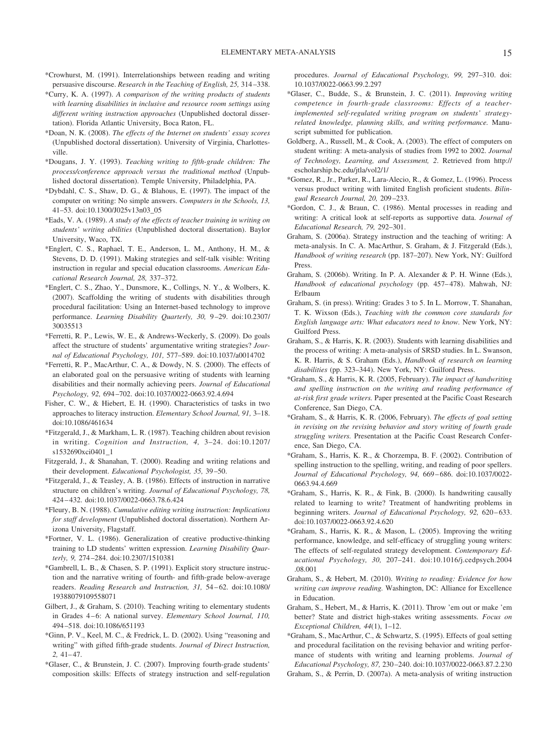- \*Crowhurst, M. (1991). Interrelationships between reading and writing persuasive discourse. *Research in the Teaching of English, 25,* 314–338.
- \*Curry, K. A. (1997). *A comparison of the writing products of students with learning disabilities in inclusive and resource room settings using different writing instruction approaches* (Unpublished doctoral dissertation). Florida Atlantic University, Boca Raton, FL.
- \*Doan, N. K. (2008). *The effects of the Internet on students' essay scores* (Unpublished doctoral dissertation). University of Virginia, Charlottesville.
- \*Dougans, J. Y. (1993). *Teaching writing to fifth-grade children: The process/conference approach versus the traditional method* (Unpublished doctoral dissertation). Temple University, Philadelphia, PA.
- \*Dybdahl, C. S., Shaw, D. G., & Blahous, E. (1997). The impact of the computer on writing: No simple answers. *Computers in the Schools, 13,* 41–53. doi:10.1300/J025v13n03\_05
- \*Eads, V. A. (1989). *A study of the effects of teacher training in writing on students' writing abilities* (Unpublished doctoral dissertation). Baylor University, Waco, TX.
- \*Englert, C. S., Raphael, T. E., Anderson, L. M., Anthony, H. M., & Stevens, D. D. (1991). Making strategies and self-talk visible: Writing instruction in regular and special education classrooms. *American Educational Research Journal, 28,* 337–372.
- \*Englert, C. S., Zhao, Y., Dunsmore, K., Collings, N. Y., & Wolbers, K. (2007). Scaffolding the writing of students with disabilities through procedural facilitation: Using an Internet-based technology to improve performance. *Learning Disability Quarterly, 30,* 9–29. doi:10.2307/ 30035513
- \*Ferretti, R. P., Lewis, W. E., & Andrews-Weckerly, S. (2009). Do goals affect the structure of students' argumentative writing strategies? *Journal of Educational Psychology, 101,* 577–589. doi:10.1037/a0014702
- \*Ferretti, R. P., MacArthur, C. A., & Dowdy, N. S. (2000). The effects of an elaborated goal on the persuasive writing of students with learning disabilities and their normally achieving peers. *Journal of Educational Psychology, 92,* 694–702. doi:10.1037/0022-0663.92.4.694
- Fisher, C. W., & Hiebert, E. H. (1990). Characteristics of tasks in two approaches to literacy instruction. *Elementary School Journal, 91,* 3–18. doi:10.1086/461634
- \*Fitzgerald, J., & Markham, L. R. (1987). Teaching children about revision in writing. *Cognition and Instruction, 4,* 3–24. doi:10.1207/ s1532690xci0401\_1
- Fitzgerald, J., & Shanahan, T. (2000). Reading and writing relations and their development. *Educational Psychologist, 35,* 39–50.
- \*Fitzgerald, J., & Teasley, A. B. (1986). Effects of instruction in narrative structure on children's writing. *Journal of Educational Psychology, 78,* 424–432. doi:10.1037/0022-0663.78.6.424
- \*Fleury, B. N. (1988). *Cumulative editing writing instruction: Implications for staff development* (Unpublished doctoral dissertation). Northern Arizona University, Flagstaff.
- \*Fortner, V. L. (1986). Generalization of creative productive-thinking training to LD students' written expression. *Learning Disability Quarterly, 9,* 274–284. doi:10.2307/1510381
- \*Gambrell, L. B., & Chasen, S. P. (1991). Explicit story structure instruction and the narrative writing of fourth- and fifth-grade below-average readers. *Reading Research and Instruction, 31,* 54–62. doi:10.1080/ 19388079109558071
- Gilbert, J., & Graham, S. (2010). Teaching writing to elementary students in Grades 4–6: A national survey. *Elementary School Journal, 110,* 494–518. doi:10.1086/651193
- \*Ginn, P. V., Keel, M. C., & Fredrick, L. D. (2002). Using "reasoning and writing" with gifted fifth-grade students. *Journal of Direct Instruction, 2,* 41–47.
- \*Glaser, C., & Brunstein, J. C. (2007). Improving fourth-grade students' composition skills: Effects of strategy instruction and self-regulation

procedures. *Journal of Educational Psychology, 99,* 297–310. doi: 10.1037/0022-0663.99.2.297

- \*Glaser, C., Budde, S., & Brunstein, J. C. (2011). *Improving writing competence in fourth-grade classrooms: Effects of a teacherimplemented self-regulated writing program on students' strategyrelated knowledge, planning skills, and writing performance.* Manuscript submitted for publication.
- Goldberg, A., Russell, M., & Cook, A. (2003). The effect of computers on student writing: A meta-analysis of studies from 1992 to 2002. *Journal of Technology, Learning, and Assessment, 2*. Retrieved from http:// escholarship.bc.edu/jtla/vol2/1/
- \*Gomez, R., Jr., Parker, R., Lara-Alecio, R., & Gomez, L. (1996). Process versus product writing with limited English proficient students. *Bilingual Research Journal, 20,* 209–233.
- \*Gordon, C. J., & Braun, C. (1986). Mental processes in reading and writing: A critical look at self-reports as supportive data. *Journal of Educational Research, 79,* 292–301.
- Graham, S. (2006a). Strategy instruction and the teaching of writing: A meta-analysis. In C. A. MacArthur, S. Graham, & J. Fitzgerald (Eds.), *Handbook of writing research* (pp. 187–207). New York, NY: Guilford Press.
- Graham, S. (2006b). Writing. In P. A. Alexander & P. H. Winne (Eds.), *Handbook of educational psychology* (pp. 457–478). Mahwah, NJ: Erlbaum
- Graham, S. (in press). Writing: Grades 3 to 5. In L. Morrow, T. Shanahan, T. K. Wixson (Eds.), *Teaching with the common core standards for English language arts: What educators need to know.* New York, NY: Guilford Press.
- Graham, S., & Harris, K. R. (2003). Students with learning disabilities and the process of writing: A meta-analysis of SRSD studies. In L. Swanson, K. R. Harris, & S. Graham (Eds.), *Handbook of research on learning disabilities* (pp. 323–344). New York, NY: Guilford Press.
- \*Graham, S., & Harris, K. R. (2005, February). *The impact of handwriting and spelling instruction on the writing and reading performance of at-risk first grade writers.* Paper presented at the Pacific Coast Research Conference, San Diego, CA.
- \*Graham, S., & Harris, K. R. (2006, February). *The effects of goal setting in revising on the revising behavior and story writing of fourth grade struggling writers.* Presentation at the Pacific Coast Research Conference, San Diego, CA.
- \*Graham, S., Harris, K. R., & Chorzempa, B. F. (2002). Contribution of spelling instruction to the spelling, writing, and reading of poor spellers. *Journal of Educational Psychology, 94,* 669–686. doi:10.1037/0022- 0663.94.4.669
- \*Graham, S., Harris, K. R., & Fink, B. (2000). Is handwriting causally related to learning to write? Treatment of handwriting problems in beginning writers. *Journal of Educational Psychology, 92,* 620–633. doi:10.1037/0022-0663.92.4.620
- \*Graham, S., Harris, K. R., & Mason, L. (2005). Improving the writing performance, knowledge, and self-efficacy of struggling young writers: The effects of self-regulated strategy development. *Contemporary Educational Psychology, 30,* 207–241. doi:10.1016/j.cedpsych.2004 .08.001
- Graham, S., & Hebert, M. (2010). *Writing to reading: Evidence for how writing can improve reading.* Washington, DC: Alliance for Excellence in Education.
- Graham, S., Hebert, M., & Harris, K. (2011). Throw 'em out or make 'em better? State and district high-stakes writing assessments. *Focus on Exceptional Children, 44*(1), 1–12.
- \*Graham, S., MacArthur, C., & Schwartz, S. (1995). Effects of goal setting and procedural facilitation on the revising behavior and writing performance of students with writing and learning problems. *Journal of Educational Psychology, 87,* 230–240. doi:10.1037/0022-0663.87.2.230
- Graham, S., & Perrin, D. (2007a). A meta-analysis of writing instruction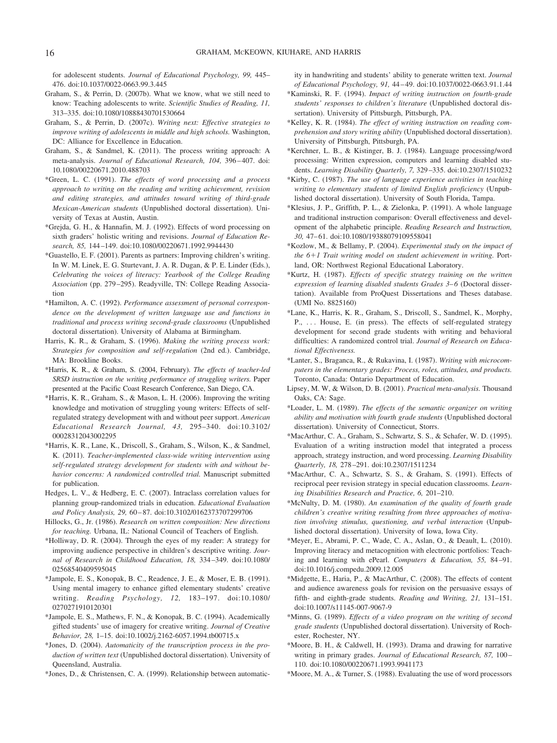for adolescent students. *Journal of Educational Psychology, 99,* 445– 476. doi:10.1037/0022-0663.99.3.445

- Graham, S., & Perrin, D. (2007b). What we know, what we still need to know: Teaching adolescents to write. *Scientific Studies of Reading, 11,* 313–335. doi:10.1080/10888430701530664
- Graham, S., & Perrin, D. (2007c). *Writing next: Effective strategies to improve writing of adolescents in middle and high schools.* Washington, DC: Alliance for Excellence in Education.
- Graham, S., & Sandmel, K. (2011). The process writing approach: A meta-analysis. *Journal of Educational Research, 104,* 396–407. doi: 10.1080/00220671.2010.488703
- \*Green, L. C. (1991). *The effects of word processing and a process approach to writing on the reading and writing achievement, revision and editing strategies, and attitudes toward writing of third-grade Mexican-American students* (Unpublished doctoral dissertation). University of Texas at Austin, Austin.
- \*Grejda, G. H., & Hannafin, M. J. (1992). Effects of word processing on sixth graders' holistic writing and revisions. *Journal of Education Research, 85,* 144–149. doi:10.1080/00220671.1992.9944430
- \*Guastello, E. F. (2001). Parents as partners: Improving children's writing. In W. M. Linek, E. G. Sturtevant, J. A. R. Dugan, & P. E. Linder (Eds.), *Celebrating the voices of literacy: Yearbook of the College Reading Association* (pp. 279–295). Readyville, TN: College Reading Association
- \*Hamilton, A. C. (1992). *Performance assessment of personal correspondence on the development of written language use and functions in traditional and process writing second-grade classrooms* (Unpublished doctoral dissertation). University of Alabama at Birmingham.
- Harris, K. R., & Graham, S. (1996). *Making the writing process work: Strategies for composition and self-regulation* (2nd ed.). Cambridge, MA: Brookline Books.
- \*Harris, K. R., & Graham, S. (2004, February). *The effects of teacher-led SRSD instruction on the writing performance of struggling writers.* Paper presented at the Pacific Coast Research Conference, San Diego, CA.
- \*Harris, K. R., Graham, S., & Mason, L. H. (2006). Improving the writing knowledge and motivation of struggling young writers: Effects of selfregulated strategy development with and without peer support. *American Educational Research Journal, 43,* 295–340. doi:10.3102/ 00028312043002295
- \*Harris, K. R., Lane, K., Driscoll, S., Graham, S., Wilson, K., & Sandmel, K. (2011). *Teacher-implemented class-wide writing intervention using self-regulated strategy development for students with and without behavior concerns: A randomized controlled trial.* Manuscript submitted for publication.
- Hedges, L. V., & Hedberg, E. C. (2007). Intraclass correlation values for planning group-randomized trials in education. *Educational Evaluation and Policy Analysis, 29,* 60–87. doi:10.3102/0162373707299706
- Hillocks, G., Jr. (1986). *Research on written composition: New directions for teaching.* Urbana, IL: National Council of Teachers of English.
- \*Holliway, D. R. (2004). Through the eyes of my reader: A strategy for improving audience perspective in children's descriptive writing. *Journal of Research in Childhood Education, 18,* 334–349. doi:10.1080/ 02568540409595045
- \*Jampole, E. S., Konopak, B. C., Readence, J. E., & Moser, E. B. (1991). Using mental imagery to enhance gifted elementary students' creative writing. *Reading Psychology, 12,* 183–197. doi:10.1080/ 0270271910120301
- \*Jampole, E. S., Mathews, F. N., & Konopak, B. C. (1994). Academically gifted students' use of imagery for creative writing. *Journal of Creative Behavior, 28,* 1–15. doi:10.1002/j.2162-6057.1994.tb00715.x
- \*Jones, D. (2004). *Automaticity of the transcription process in the production of written text* (Unpublished doctoral dissertation). University of Queensland, Australia.
- \*Jones, D., & Christensen, C. A. (1999). Relationship between automatic-

ity in handwriting and students' ability to generate written text. *Journal of Educational Psychology, 91,* 44–49. doi:10.1037/0022-0663.91.1.44

- \*Kaminski, R. F. (1994). *Impact of writing instruction on fourth-grade students' responses to children's literature* (Unpublished doctoral dissertation). University of Pittsburgh, Pittsburgh, PA.
- \*Kelley, K. R. (1984). *The effect of writing instruction on reading comprehension and story writing ability* (Unpublished doctoral dissertation). University of Pittsburgh, Pittsburgh, PA.
- \*Kerchner, L. B., & Kistinger, B. J. (1984). Language processing/word processing: Written expression, computers and learning disabled students. *Learning Disability Quarterly, 7,* 329–335. doi:10.2307/1510232
- \*Kirby, C. (1987). *The use of language experience activities in teaching writing to elementary students of limited English proficiency* (Unpublished doctoral dissertation). University of South Florida, Tampa.
- \*Klesius, J. P., Griffith, P. L., & Zielonka, P. (1991). A whole language and traditional instruction comparison: Overall effectiveness and development of the alphabetic principle. *Reading Research and Instruction, 30,* 47–61. doi:10.1080/19388079109558041
- \*Kozlow, M., & Bellamy, P. (2004). *Experimental study on the impact of the 61 Trait writing model on student achievement in writing.* Portland, OR: Northwest Regional Educational Laboratory.
- \*Kurtz, H. (1987). *Effects of specific strategy training on the written expression of learning disabled students Grades 3– 6* (Doctoral dissertation). Available from ProQuest Dissertations and Theses database. (UMI No. 8825160)
- \*Lane, K., Harris, K. R., Graham, S., Driscoll, S., Sandmel, K., Morphy, P., ... House, E. (in press). The effects of self-regulated strategy development for second grade students with writing and behavioral difficulties: A randomized control trial. *Journal of Research on Educational Effectiveness.*
- \*Lanter, S., Braganca, R., & Rukavina, I. (1987). *Writing with microcomputers in the elementary grades: Process, roles, attitudes, and products.* Toronto, Canada: Ontario Department of Education.
- Lipsey, M. W, & Wilson, D. B. (2001). *Practical meta-analysis.* Thousand Oaks, CA: Sage.
- \*Loader, L. M. (1989). *The effects of the semantic organizer on writing ability and motivation with fourth grade students* (Unpublished doctoral dissertation). University of Connecticut, Storrs.
- \*MacArthur, C. A., Graham, S., Schwartz, S. S., & Schafer, W. D. (1995). Evaluation of a writing instruction model that integrated a process approach, strategy instruction, and word processing. *Learning Disability Quarterly, 18,* 278–291. doi:10.2307/1511234
- \*MacArthur, C. A., Schwartz, S. S., & Graham, S. (1991). Effects of reciprocal peer revision strategy in special education classrooms. *Learning Disabilities Research and Practice, 6,* 201–210.
- \*McNulty, D. M. (1980). *An examination of the quality of fourth grade children's creative writing resulting from three approaches of motivation involving stimulus, questioning, and verbal interaction* (Unpublished doctoral dissertation). University of Iowa, Iowa City.
- \*Meyer, E., Abrami, P. C., Wade, C. A., Aslan, O., & Deault, L. (2010). Improving literacy and metacognition with electronic portfolios: Teaching and learning with ePearl. *Computers & Education, 55,* 84–91. doi:10.1016/j.compedu.2009.12.005
- \*Midgette, E., Haria, P., & MacArthur, C. (2008). The effects of content and audience awareness goals for revision on the persuasive essays of fifth- and eighth-grade students. *Reading and Writing, 21,* 131–151. doi:10.1007/s11145-007-9067-9
- \*Minns, G. (1989). *Effects of a video program on the writing of second grade students* (Unpublished doctoral dissertation). University of Rochester, Rochester, NY.
- \*Moore, B. H., & Caldwell, H. (1993). Drama and drawing for narrative writing in primary grades. *Journal of Educational Research, 87,* 100– 110. doi:10.1080/00220671.1993.9941173
- \*Moore, M. A., & Turner, S. (1988). Evaluating the use of word processors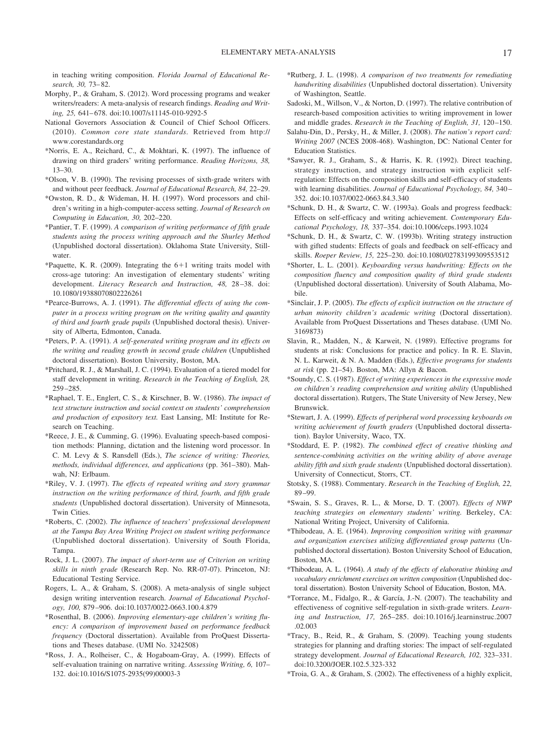in teaching writing composition. *Florida Journal of Educational Research, 30,* 73–82.

- Morphy, P., & Graham, S. (2012). Word processing programs and weaker writers/readers: A meta-analysis of research findings. *Reading and Writing, 25,* 641–678. doi:10.1007/s11145-010-9292-5
- National Governors Association & Council of Chief School Officers. (2010). *Common core state standards.* Retrieved from http:// www.corestandards.org
- \*Norris, E. A., Reichard, C., & Mokhtari, K. (1997). The influence of drawing on third graders' writing performance. *Reading Horizons, 38,* 13–30.
- \*Olson, V. B. (1990). The revising processes of sixth-grade writers with and without peer feedback. *Journal of Educational Research, 84,* 22–29.
- \*Owston, R. D., & Wideman, H. H. (1997). Word processors and children's writing in a high-computer-access setting. *Journal of Research on Computing in Education, 30,* 202–220.
- \*Pantier, T. F. (1999). *A comparison of writing performance of fifth grade students using the process writing approach and the Shurley Method* (Unpublished doctoral dissertation). Oklahoma State University, Stillwater.
- \*Paquette, K. R. (2009). Integrating the  $6+1$  writing traits model with cross-age tutoring: An investigation of elementary students' writing development. *Literacy Research and Instruction, 48,* 28–38. doi: 10.1080/19388070802226261
- \*Pearce-Burrows, A. J. (1991). *The differential effects of using the computer in a process writing program on the writing quality and quantity of third and fourth grade pupils* (Unpublished doctoral thesis). University of Alberta, Edmonton, Canada.
- \*Peters, P. A. (1991). *A self-generated writing program and its effects on the writing and reading growth in second grade children* (Unpublished doctoral dissertation). Boston University, Boston, MA.
- \*Pritchard, R. J., & Marshall, J. C. (1994). Evaluation of a tiered model for staff development in writing. *Research in the Teaching of English, 28,* 259–285.
- \*Raphael, T. E., Englert, C. S., & Kirschner, B. W. (1986). *The impact of text structure instruction and social context on students' comprehension and production of expository text.* East Lansing, MI: Institute for Research on Teaching.
- \*Reece, J. E., & Cumming, G. (1996). Evaluating speech-based composition methods: Planning, dictation and the listening word processor. In C. M. Levy & S. Ransdell (Eds.), *The science of writing: Theories, methods, individual differences, and applications* (pp. 361–380). Mahwah, NJ: Erlbaum.
- \*Riley, V. J. (1997). *The effects of repeated writing and story grammar instruction on the writing performance of third, fourth, and fifth grade students* (Unpublished doctoral dissertation). University of Minnesota, Twin Cities.
- \*Roberts, C. (2002). *The influence of teachers' professional development at the Tampa Bay Area Writing Project on student writing performance* (Unpublished doctoral dissertation). University of South Florida, Tampa.
- Rock, J. L. (2007). *The impact of short-term use of Criterion on writing skills in ninth grade* (Research Rep. No. RR-07-07). Princeton, NJ: Educational Testing Service.
- Rogers, L. A., & Graham, S. (2008). A meta-analysis of single subject design writing intervention research. *Journal of Educational Psychology, 100,* 879–906. doi:10.1037/0022-0663.100.4.879
- \*Rosenthal, B. (2006). *Improving elementary-age children's writing fluency: A comparison of improvement based on performance feedback frequency* (Doctoral dissertation). Available from ProQuest Dissertations and Theses database. (UMI No. 3242508)
- \*Ross, J. A., Rolheiser, C., & Hogaboam-Gray, A. (1999). Effects of self-evaluation training on narrative writing. *Assessing Writing, 6,* 107– 132. doi:10.1016/S1075-2935(99)00003-3
- \*Rutberg, J. L. (1998). *A comparison of two treatments for remediating handwriting disabilities* (Unpublished doctoral dissertation). University of Washington, Seattle.
- Sadoski, M., Willson, V., & Norton, D. (1997). The relative contribution of research-based composition activities to writing improvement in lower and middle grades. *Research in the Teaching of English, 31,* 120–150.
- Salahu-Din, D., Persky, H., & Miller, J. (2008). *The nation's report card: Writing 2007* (NCES 2008-468). Washington, DC: National Center for Education Statistics.
- \*Sawyer, R. J., Graham, S., & Harris, K. R. (1992). Direct teaching, strategy instruction, and strategy instruction with explicit selfregulation: Effects on the composition skills and self-efficacy of students with learning disabilities. *Journal of Educational Psychology, 84,* 340– 352. doi:10.1037/0022-0663.84.3.340
- \*Schunk, D. H., & Swartz, C. W. (1993a). Goals and progress feedback: Effects on self-efficacy and writing achievement. *Contemporary Educational Psychology, 18,* 337–354. doi:10.1006/ceps.1993.1024
- \*Schunk, D. H., & Swartz, C. W. (1993b). Writing strategy instruction with gifted students: Effects of goals and feedback on self-efficacy and skills. *Roeper Review, 15,* 225–230. doi:10.1080/02783199309553512
- \*Shorter, L. L. (2001). *Keyboarding versus handwriting: Effects on the composition fluency and composition quality of third grade students* (Unpublished doctoral dissertation). University of South Alabama, Mobile.
- \*Sinclair, J. P. (2005). *The effects of explicit instruction on the structure of urban minority children's academic writing* (Doctoral dissertation). Available from ProQuest Dissertations and Theses database. (UMI No. 3169873)
- Slavin, R., Madden, N., & Karweit, N. (1989). Effective programs for students at risk: Conclusions for practice and policy. In R. E. Slavin, N. L. Karweit, & N. A. Madden (Eds.), *Effective programs for students at risk* (pp. 21–54). Boston, MA: Allyn & Bacon.
- \*Soundy, C. S. (1987). *Effect of writing experiences in the expressive mode on children's reading comprehension and writing ability* (Unpublished doctoral dissertation). Rutgers, The State University of New Jersey, New Brunswick.
- \*Stewart, J. A. (1999). *Effects of peripheral word processing keyboards on writing achievement of fourth graders* (Unpublished doctoral dissertation). Baylor University, Waco, TX.
- \*Stoddard, E. P. (1982). *The combined effect of creative thinking and sentence-combining activities on the writing ability of above average ability fifth and sixth grade students* (Unpublished doctoral dissertation). University of Connecticut, Storrs, CT.
- Stotsky, S. (1988). Commentary. *Research in the Teaching of English, 22,* 89–99.
- \*Swain, S. S., Graves, R. L., & Morse, D. T. (2007). *Effects of NWP teaching strategies on elementary students' writing.* Berkeley, CA: National Writing Project, University of California.
- \*Thibodeau, A. E. (1964). *Improving composition writing with grammar and organization exercises utilizing differentiated group patterns* (Unpublished doctoral dissertation). Boston University School of Education, Boston, MA.
- \*Thibodeau, A. L. (1964). *A study of the effects of elaborative thinking and vocabulary enrichment exercises on written composition* (Unpublished doctoral dissertation). Boston University School of Education, Boston, MA.
- \*Torrance, M., Fidalgo, R., & García, J.-N. (2007). The teachability and effectiveness of cognitive self-regulation in sixth-grade writers. *Learning and Instruction, 17,* 265–285. doi:10.1016/j.learninstruc.2007 .02.003
- \*Tracy, B., Reid, R., & Graham, S. (2009). Teaching young students strategies for planning and drafting stories: The impact of self-regulated strategy development. *Journal of Educational Research, 102,* 323–331. doi:10.3200/JOER.102.5.323-332
- \*Troia, G. A., & Graham, S. (2002). The effectiveness of a highly explicit,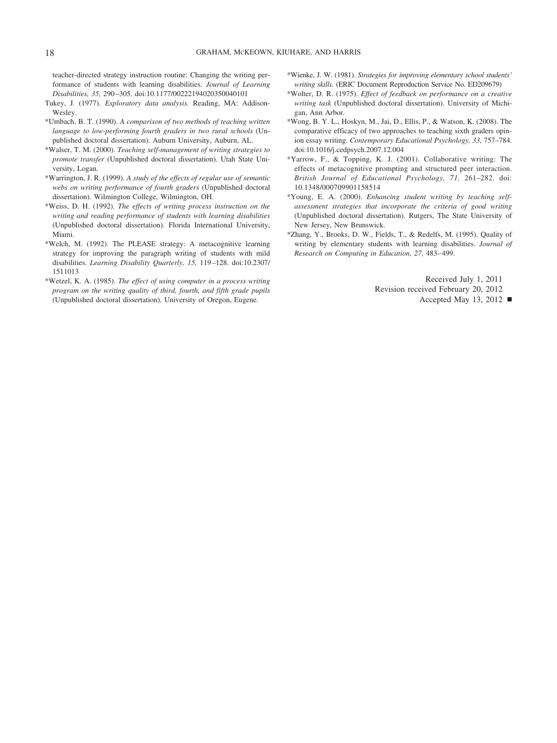teacher-directed strategy instruction routine: Changing the writing performance of students with learning disabilities. *Journal of Learning Disabilities, 35,* 290–305. doi:10.1177/00222194020350040101

- Tukey, J. (1977). *Exploratory data analysis.* Reading, MA: Addison-Wesley.
- \*Umbach, B. T. (1990). *A comparison of two methods of teaching written language to low-performing fourth graders in two rural schools* (Unpublished doctoral dissertation). Auburn University, Auburn, AL.
- \*Walser, T. M. (2000). *Teaching self-management of writing strategies to promote transfer* (Unpublished doctoral dissertation). Utah State University, Logan.
- \*Warrington, J. R. (1999). *A study of the effects of regular use of semantic webs on writing performance of fourth graders* (Unpublished doctoral dissertation). Wilmington College, Wilmington, OH.
- \*Weiss, D. H. (1992). *The effects of writing process instruction on the writing and reading performance of students with learning disabilities* (Unpublished doctoral dissertation). Florida International University, Miami.
- \*Welch, M. (1992). The PLEASE strategy: A metacognitive learning strategy for improving the paragraph writing of students with mild disabilities. *Learning Disability Quarterly, 15,* 119–128. doi:10.2307/ 1511013
- \*Wetzel, K. A. (1985). *The effect of using computer in a process writing program on the writing quality of third, fourth, and fifth grade pupils* (Unpublished doctoral dissertation). University of Oregon, Eugene.
- \*Wienke, J. W. (1981). *Strategies for improving elementary school students' writing skills.* (ERIC Document Reproduction Service No. ED209679)
- \*Wolter, D. R. (1975). *Effect of feedback on performance on a creative writing task* (Unpublished doctoral dissertation). University of Michigan, Ann Arbor.
- \*Wong, B. Y. L., Hoskyn, M., Jai, D., Ellis, P., & Watson, K. (2008). The comparative efficacy of two approaches to teaching sixth graders opinion essay writing. *Contemporary Educational Psychology, 33,* 757–784. doi:10.1016/j.cedpsych.2007.12.004
- \*Yarrow, F., & Topping, K. J. (2001). Collaborative writing: The effects of metacognitive prompting and structured peer interaction. *British Journal of Educational Psychology, 71,* 261–282. doi: 10.1348/000709901158514
- \*Young, E. A. (2000). *Enhancing student writing by teaching selfassessment strategies that incorporate the criteria of good writing* (Unpublished doctoral dissertation). Rutgers, The State University of New Jersey, New Brunswick.
- \*Zhang, Y., Brooks, D. W., Fields, T., & Redelfs, M. (1995). Quality of writing by elementary students with learning disabilities. *Journal of Research on Computing in Education, 27,* 483–499.

Received July 1, 2011 Revision received February 20, 2012

Accepted May 13, 2012  $\blacksquare$